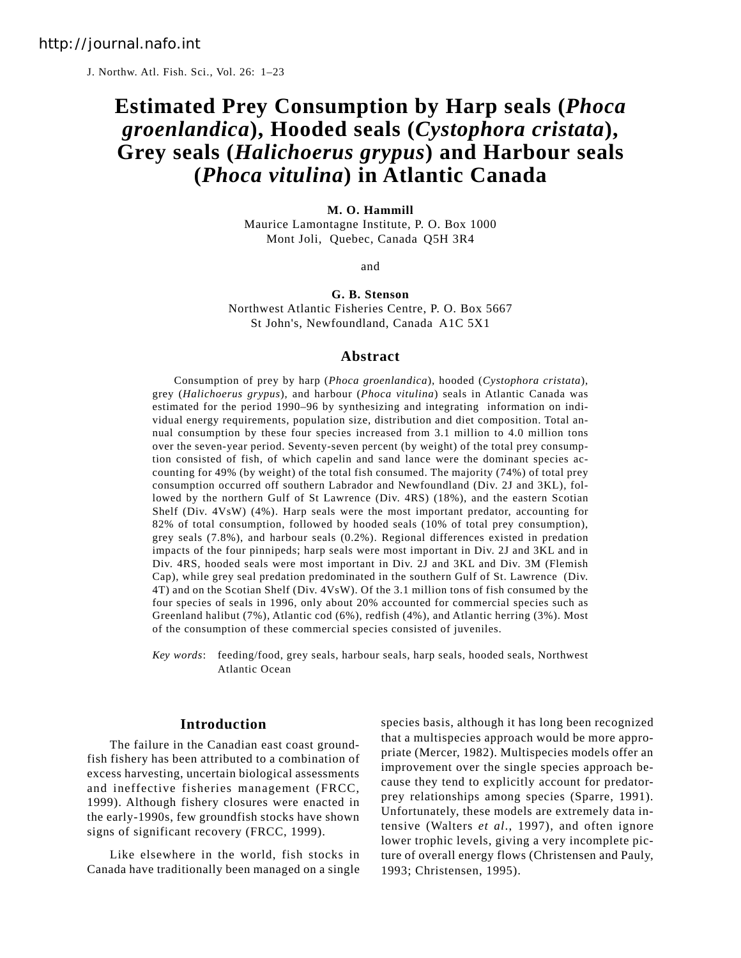J. Northw. Atl. Fish. Sci., Vol. 26: 1–23

# **Estimated Prey Consumption by Harp seals (***Phoca groenlandica***), Hooded seals (***Cystophora cristata***), Grey seals (***Halichoerus grypus***) and Harbour seals (***Phoca vitulina***) in Atlantic Canada**

#### **M. O. Hammill**

Maurice Lamontagne Institute, P. O. Box 1000 Mont Joli, Quebec, Canada Q5H 3R4

and

# **G. B. Stenson** Northwest Atlantic Fisheries Centre, P. O. Box 5667 St John's, Newfoundland, Canada A1C 5X1

#### **Abstract**

Consumption of prey by harp (*Phoca groenlandica*), hooded (*Cystophora cristata*), grey (*Halichoerus grypus*), and harbour (*Phoca vitulina*) seals in Atlantic Canada was estimated for the period 1990–96 by synthesizing and integrating information on individual energy requirements, population size, distribution and diet composition. Total annual consumption by these four species increased from 3.1 million to 4.0 million tons over the seven-year period. Seventy-seven percent (by weight) of the total prey consumption consisted of fish, of which capelin and sand lance were the dominant species accounting for 49% (by weight) of the total fish consumed. The majority (74%) of total prey consumption occurred off southern Labrador and Newfoundland (Div. 2J and 3KL), followed by the northern Gulf of St Lawrence (Div. 4RS) (18%), and the eastern Scotian Shelf (Div. 4VsW) (4%). Harp seals were the most important predator, accounting for 82% of total consumption, followed by hooded seals (10% of total prey consumption), grey seals (7.8%), and harbour seals (0.2%). Regional differences existed in predation impacts of the four pinnipeds; harp seals were most important in Div. 2J and 3KL and in Div. 4RS, hooded seals were most important in Div. 2J and 3KL and Div. 3M (Flemish Cap), while grey seal predation predominated in the southern Gulf of St. Lawrence (Div. 4T) and on the Scotian Shelf (Div. 4VsW). Of the 3.1 million tons of fish consumed by the four species of seals in 1996, only about 20% accounted for commercial species such as Greenland halibut (7%), Atlantic cod (6%), redfish (4%), and Atlantic herring (3%). Most of the consumption of these commercial species consisted of juveniles.

*Key words*: feeding/food, grey seals, harbour seals, harp seals, hooded seals, Northwest Atlantic Ocean

#### **Introduction**

The failure in the Canadian east coast groundfish fishery has been attributed to a combination of excess harvesting, uncertain biological assessments and ineffective fisheries management (FRCC, 1999). Although fishery closures were enacted in the early-1990s, few groundfish stocks have shown signs of significant recovery (FRCC, 1999).

Like elsewhere in the world, fish stocks in Canada have traditionally been managed on a single species basis, although it has long been recognized that a multispecies approach would be more appropriate (Mercer, 1982). Multispecies models offer an improvement over the single species approach because they tend to explicitly account for predatorprey relationships among species (Sparre, 1991). Unfortunately, these models are extremely data intensive (Walters *et al*., 1997), and often ignore lower trophic levels, giving a very incomplete picture of overall energy flows (Christensen and Pauly, 1993; Christensen, 1995).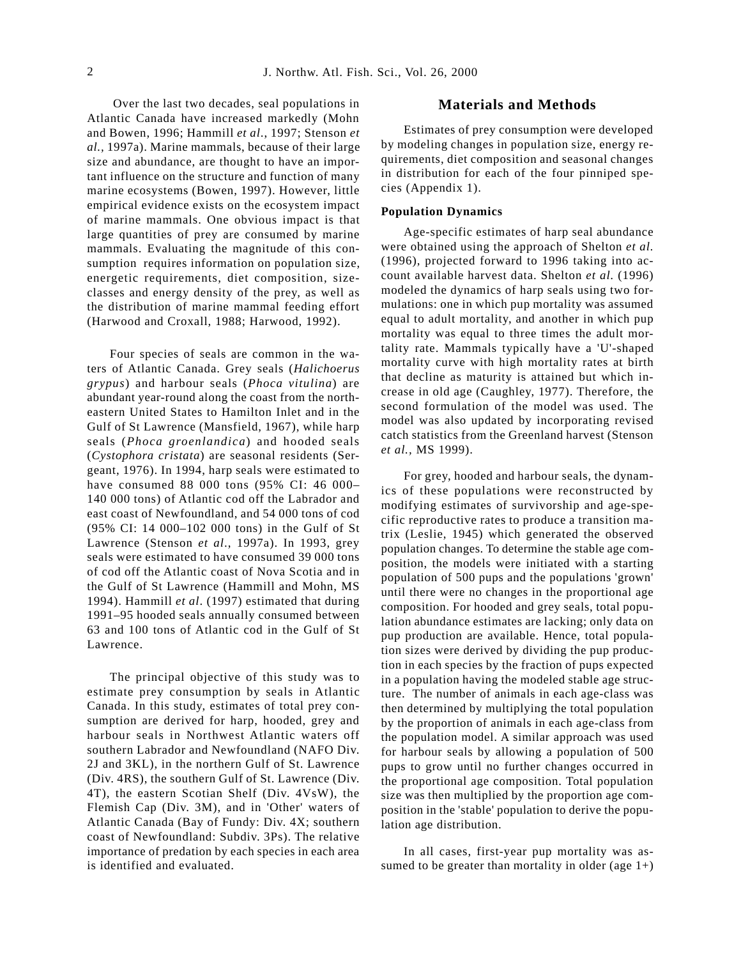Over the last two decades, seal populations in Atlantic Canada have increased markedly (Mohn and Bowen, 1996; Hammill *et al*., 1997; Stenson *et al.,* 1997a). Marine mammals, because of their large size and abundance, are thought to have an important influence on the structure and function of many marine ecosystems (Bowen, 1997). However, little empirical evidence exists on the ecosystem impact of marine mammals. One obvious impact is that large quantities of prey are consumed by marine mammals. Evaluating the magnitude of this consumption requires information on population size, energetic requirements, diet composition, sizeclasses and energy density of the prey, as well as the distribution of marine mammal feeding effort (Harwood and Croxall, 1988; Harwood, 1992).

Four species of seals are common in the waters of Atlantic Canada. Grey seals (*Halichoerus grypus*) and harbour seals (*Phoca vitulina*) are abundant year-round along the coast from the northeastern United States to Hamilton Inlet and in the Gulf of St Lawrence (Mansfield, 1967), while harp seals (*Phoca groenlandica*) and hooded seals (*Cystophora cristata*) are seasonal residents (Sergeant, 1976). In 1994, harp seals were estimated to have consumed 88 000 tons (95% CI: 46 000– 140 000 tons) of Atlantic cod off the Labrador and east coast of Newfoundland, and 54 000 tons of cod (95% CI: 14 000–102 000 tons) in the Gulf of St Lawrence (Stenson *et al*., 1997a). In 1993, grey seals were estimated to have consumed 39 000 tons of cod off the Atlantic coast of Nova Scotia and in the Gulf of St Lawrence (Hammill and Mohn, MS 1994). Hammill *et al*. (1997) estimated that during 1991–95 hooded seals annually consumed between 63 and 100 tons of Atlantic cod in the Gulf of St Lawrence.

The principal objective of this study was to estimate prey consumption by seals in Atlantic Canada. In this study, estimates of total prey consumption are derived for harp, hooded, grey and harbour seals in Northwest Atlantic waters off southern Labrador and Newfoundland (NAFO Div. 2J and 3KL), in the northern Gulf of St. Lawrence (Div. 4RS), the southern Gulf of St. Lawrence (Div. 4T), the eastern Scotian Shelf (Div. 4VsW), the Flemish Cap (Div. 3M), and in 'Other' waters of Atlantic Canada (Bay of Fundy: Div. 4X; southern coast of Newfoundland: Subdiv. 3Ps). The relative importance of predation by each species in each area is identified and evaluated.

#### **Materials and Methods**

Estimates of prey consumption were developed by modeling changes in population size, energy requirements, diet composition and seasonal changes in distribution for each of the four pinniped species (Appendix 1).

#### **Population Dynamics**

Age-specific estimates of harp seal abundance were obtained using the approach of Shelton *et al.* (1996), projected forward to 1996 taking into account available harvest data. Shelton *et al.* (1996) modeled the dynamics of harp seals using two formulations: one in which pup mortality was assumed equal to adult mortality, and another in which pup mortality was equal to three times the adult mortality rate. Mammals typically have a 'U'-shaped mortality curve with high mortality rates at birth that decline as maturity is attained but which increase in old age (Caughley, 1977). Therefore, the second formulation of the model was used. The model was also updated by incorporating revised catch statistics from the Greenland harvest (Stenson *et al.,* MS 1999).

For grey, hooded and harbour seals, the dynamics of these populations were reconstructed by modifying estimates of survivorship and age-specific reproductive rates to produce a transition matrix (Leslie, 1945) which generated the observed population changes. To determine the stable age composition, the models were initiated with a starting population of 500 pups and the populations 'grown' until there were no changes in the proportional age composition. For hooded and grey seals, total population abundance estimates are lacking; only data on pup production are available. Hence, total population sizes were derived by dividing the pup production in each species by the fraction of pups expected in a population having the modeled stable age structure. The number of animals in each age-class was then determined by multiplying the total population by the proportion of animals in each age-class from the population model. A similar approach was used for harbour seals by allowing a population of 500 pups to grow until no further changes occurred in the proportional age composition. Total population size was then multiplied by the proportion age composition in the 'stable' population to derive the population age distribution.

In all cases, first-year pup mortality was assumed to be greater than mortality in older (age  $1+$ )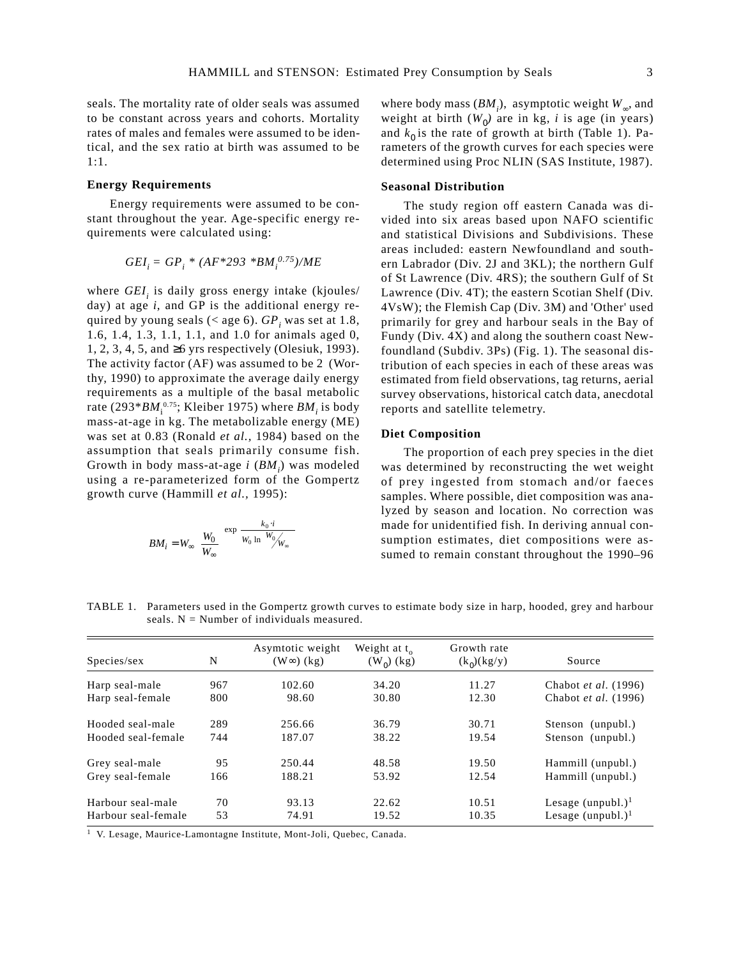seals. The mortality rate of older seals was assumed to be constant across years and cohorts. Mortality rates of males and females were assumed to be identical, and the sex ratio at birth was assumed to be 1:1.

#### **Energy Requirements**

Energy requirements were assumed to be constant throughout the year. Age-specific energy requirements were calculated using:

$$
GEI_i = GP_i * (AF * 293 * BM_i^{0.75})/ME
$$

where  $GEI<sub>i</sub>$  is daily gross energy intake (kjoules/ day) at age *i*, and GP is the additional energy required by young seals ( $\langle$  age 6).  $GP$ , was set at 1.8, 1.6, 1.4, 1.3, 1.1, 1.1, and 1.0 for animals aged 0, 1, 2, 3, 4, 5, and ≥6 yrs respectively (Olesiuk, 1993). The activity factor (AF) was assumed to be 2 (Worthy, 1990) to approximate the average daily energy requirements as a multiple of the basal metabolic rate (293\**BM*<sub>i</sub><sup>0.75</sup>; Kleiber 1975) where *BM*<sub>i</sub> is body mass-at-age in kg. The metabolizable energy (ME) was set at 0.83 (Ronald *et al.,* 1984) based on the assumption that seals primarily consume fish. Growth in body mass-at-age *i* (*BM*<sub>*i*</sub>) was modeled using a re-parameterized form of the Gompertz growth curve (Hammill *et al.,* 1995):

$$
BM_i = W_{\infty} \left( \frac{W_0}{W_{\infty}} \right)^{\exp} \left( \frac{k_0 \cdot i}{W_0 \ln(W_0/W_{\infty})} \right)
$$

where body mass (*BM*<sub>i</sub>), asymptotic weight *W*<sub>∞</sub>, and weight at birth  $(W_0)$  are in kg, *i* is age (in years) and  $k_0$  is the rate of growth at birth (Table 1). Parameters of the growth curves for each species were determined using Proc NLIN (SAS Institute, 1987).

#### **Seasonal Distribution**

The study region off eastern Canada was divided into six areas based upon NAFO scientific and statistical Divisions and Subdivisions. These areas included: eastern Newfoundland and southern Labrador (Div. 2J and 3KL); the northern Gulf of St Lawrence (Div. 4RS); the southern Gulf of St Lawrence (Div. 4T); the eastern Scotian Shelf (Div. 4VsW); the Flemish Cap (Div. 3M) and 'Other' used primarily for grey and harbour seals in the Bay of Fundy (Div. 4X) and along the southern coast Newfoundland (Subdiv. 3Ps) (Fig. 1). The seasonal distribution of each species in each of these areas was estimated from field observations, tag returns, aerial survey observations, historical catch data, anecdotal reports and satellite telemetry.

#### **Diet Composition**

The proportion of each prey species in the diet was determined by reconstructing the wet weight of prey ingested from stomach and/or faeces samples. Where possible, diet composition was analyzed by season and location. No correction was made for unidentified fish. In deriving annual consumption estimates, diet compositions were assumed to remain constant throughout the 1990–96

TABLE 1. Parameters used in the Gompertz growth curves to estimate body size in harp, hooded, grey and harbour seals.  $N =$  Number of individuals measured.

| Species/sex         | N   | Asymtotic weight<br>$(W\infty)$ (kg) | Weight at $t_{0}$<br>$(W_0)$ (kg) | Growth rate<br>$(k_0)(kg/y)$ | Source                      |
|---------------------|-----|--------------------------------------|-----------------------------------|------------------------------|-----------------------------|
| Harp seal-male      | 967 | 102.60                               | 34.20                             | 11.27                        | Chabot <i>et al.</i> (1996) |
| Harp seal-female    | 800 | 98.60                                | 30.80                             | 12.30                        | Chabot et al. (1996)        |
| Hooded seal-male    | 289 | 256.66                               | 36.79                             | 30.71                        | Stenson (unpubl.)           |
| Hooded seal-female  | 744 | 187.07                               | 38.22                             | 19.54                        | Stenson (unpubl.)           |
| Grey seal-male      | 95  | 250.44                               | 48.58                             | 19.50                        | Hammill (unpubl.)           |
| Grey seal-female    | 166 | 188.21                               | 53.92                             | 12.54                        | Hammill (unpubl.)           |
| Harbour seal-male   | 70  | 93.13                                | 22.62                             | 10.51                        | Lesage $(unpubl.)1$         |
| Harbour seal-female | 53  | 74.91                                | 19.52                             | 10.35                        | Lesage $(unpubl.)1$         |

1 V. Lesage, Maurice-Lamontagne Institute, Mont-Joli, Quebec, Canada.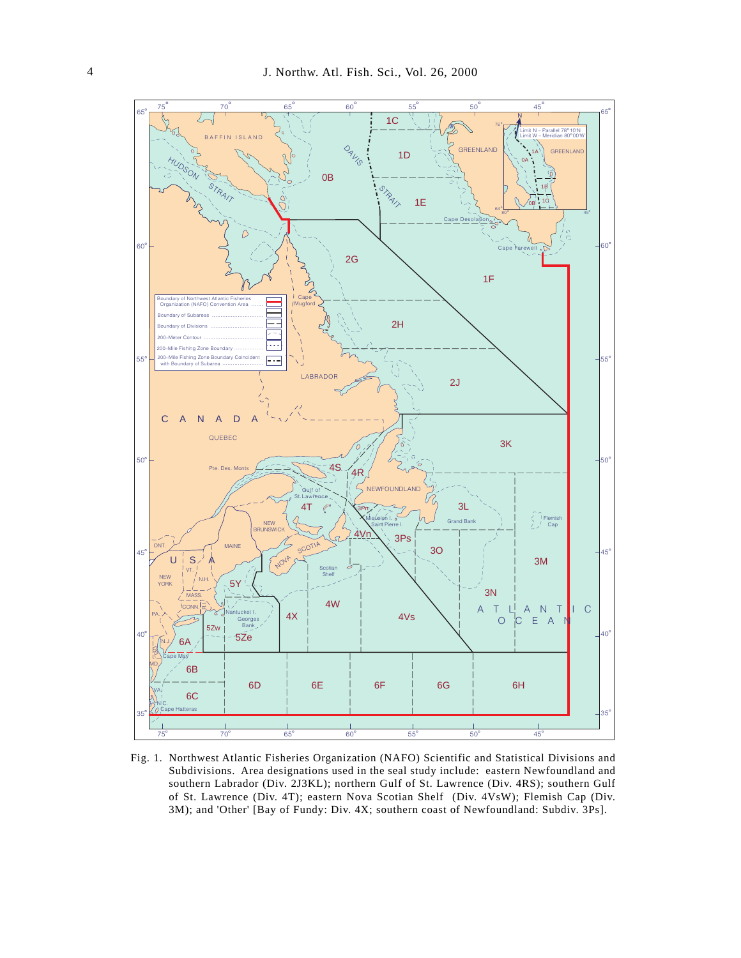

Fig. 1. Northwest Atlantic Fisheries Organization (NAFO) Scientific and Statistical Divisions and Subdivisions. Area designations used in the seal study include: eastern Newfoundland and southern Labrador (Div. 2J3KL); northern Gulf of St. Lawrence (Div. 4RS); southern Gulf of St. Lawrence (Div. 4T); eastern Nova Scotian Shelf (Div. 4VsW); Flemish Cap (Div. 3M); and 'Other' [Bay of Fundy: Div. 4X; southern coast of Newfoundland: Subdiv. 3Ps].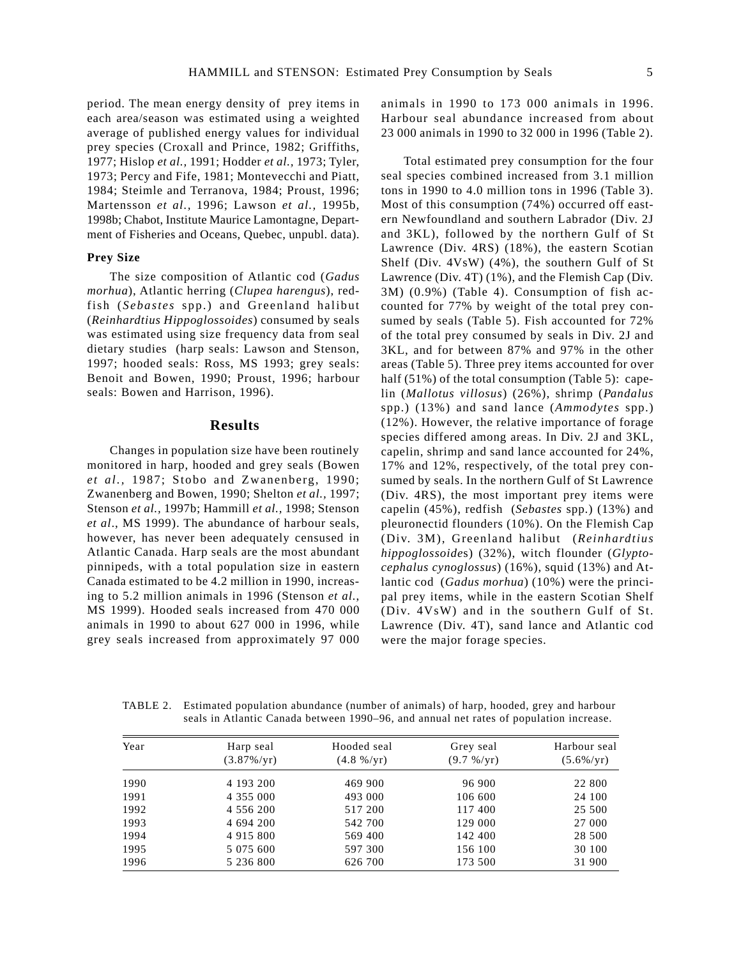period. The mean energy density of prey items in each area/season was estimated using a weighted average of published energy values for individual prey species (Croxall and Prince, 1982; Griffiths, 1977; Hislop *et al.,* 1991; Hodder *et al.,* 1973; Tyler, 1973; Percy and Fife, 1981; Montevecchi and Piatt, 1984; Steimle and Terranova, 1984; Proust, 1996; Martensson *et al.,* 1996; Lawson *et al.,* 1995b*,* 1998b; Chabot, Institute Maurice Lamontagne, Department of Fisheries and Oceans, Quebec, unpubl. data).

#### **Prey Size**

The size composition of Atlantic cod (*Gadus morhua*), Atlantic herring (*Clupea harengus*), redfish (*Sebastes* spp.) and Greenland halibut (*Reinhardtius Hippoglossoides*) consumed by seals was estimated using size frequency data from seal dietary studies (harp seals: Lawson and Stenson, 1997; hooded seals: Ross, MS 1993; grey seals: Benoit and Bowen, 1990; Proust, 1996; harbour seals: Bowen and Harrison, 1996).

### **Results**

Changes in population size have been routinely monitored in harp, hooded and grey seals (Bowen *et al.,* 1987; Stobo and Zwanenberg, 1990; Zwanenberg and Bowen, 1990; Shelton *et al.,* 1997; Stenson *et al.,* 1997b; Hammill *et al.,* 1998; Stenson *et al*., MS 1999). The abundance of harbour seals, however, has never been adequately censused in Atlantic Canada. Harp seals are the most abundant pinnipeds, with a total population size in eastern Canada estimated to be 4.2 million in 1990, increasing to 5.2 million animals in 1996 (Stenson *et al.*, MS 1999). Hooded seals increased from 470 000 animals in 1990 to about 627 000 in 1996, while grey seals increased from approximately 97 000 animals in 1990 to 173 000 animals in 1996. Harbour seal abundance increased from about 23 000 animals in 1990 to 32 000 in 1996 (Table 2).

Total estimated prey consumption for the four seal species combined increased from 3.1 million tons in 1990 to 4.0 million tons in 1996 (Table 3). Most of this consumption (74%) occurred off eastern Newfoundland and southern Labrador (Div. 2J and 3KL), followed by the northern Gulf of St Lawrence (Div. 4RS) (18%), the eastern Scotian Shelf (Div. 4VsW) (4%), the southern Gulf of St Lawrence (Div. 4T) (1%), and the Flemish Cap (Div. 3M) (0.9%) (Table 4). Consumption of fish accounted for 77% by weight of the total prey consumed by seals (Table 5). Fish accounted for 72% of the total prey consumed by seals in Div. 2J and 3KL, and for between 87% and 97% in the other areas (Table 5). Three prey items accounted for over half (51%) of the total consumption (Table 5): capelin (*Mallotus villosus*) (26%), shrimp (*Pandalus* spp.) (13%) and sand lance (*Ammodytes* spp.) (12%). However, the relative importance of forage species differed among areas. In Div. 2J and 3KL, capelin, shrimp and sand lance accounted for 24%, 17% and 12%, respectively, of the total prey consumed by seals. In the northern Gulf of St Lawrence (Div. 4RS), the most important prey items were capelin (45%), redfish (*Sebastes* spp.) (13%) and pleuronectid flounders (10%). On the Flemish Cap (Div. 3M), Greenland halibut (*Reinhardtius hippoglossoide*s) (32%), witch flounder (*Glyptocephalus cynoglossus*) (16%), squid (13%) and Atlantic cod (*Gadus morhua*) (10%) were the principal prey items, while in the eastern Scotian Shelf (Div. 4VsW) and in the southern Gulf of St. Lawrence (Div. 4T), sand lance and Atlantic cod were the major forage species.

TABLE 2. Estimated population abundance (number of animals) of harp, hooded, grey and harbour seals in Atlantic Canada between 1990–96, and annual net rates of population increase.

| Year | Harp seal     | Hooded seal           | Grey seal           | Harbour seal |
|------|---------------|-----------------------|---------------------|--------------|
|      | $(3.87\%/yr)$ | $(4.8 \frac{\%}{yr})$ | $(9.7 \frac{9}{V})$ | $(5.6\%/yr)$ |
| 1990 | 4 193 200     | 469 900               | 96 900              | 22 800       |
| 1991 | 4 3 5 5 0 0 0 | 493 000               | 106 600             | 24 100       |
| 1992 | 4 5 5 6 2 0 0 | 517 200               | 117 400             | 25 500       |
| 1993 | 4 694 200     | 542 700               | 129 000             | 27 000       |
| 1994 | 4 9 1 5 8 0 0 | 569 400               | 142 400             | 28 500       |
| 1995 | 5 0 7 5 6 0 0 | 597 300               | 156 100             | 30 100       |
| 1996 | 5 236 800     | 626 700               | 173 500             | 31 900       |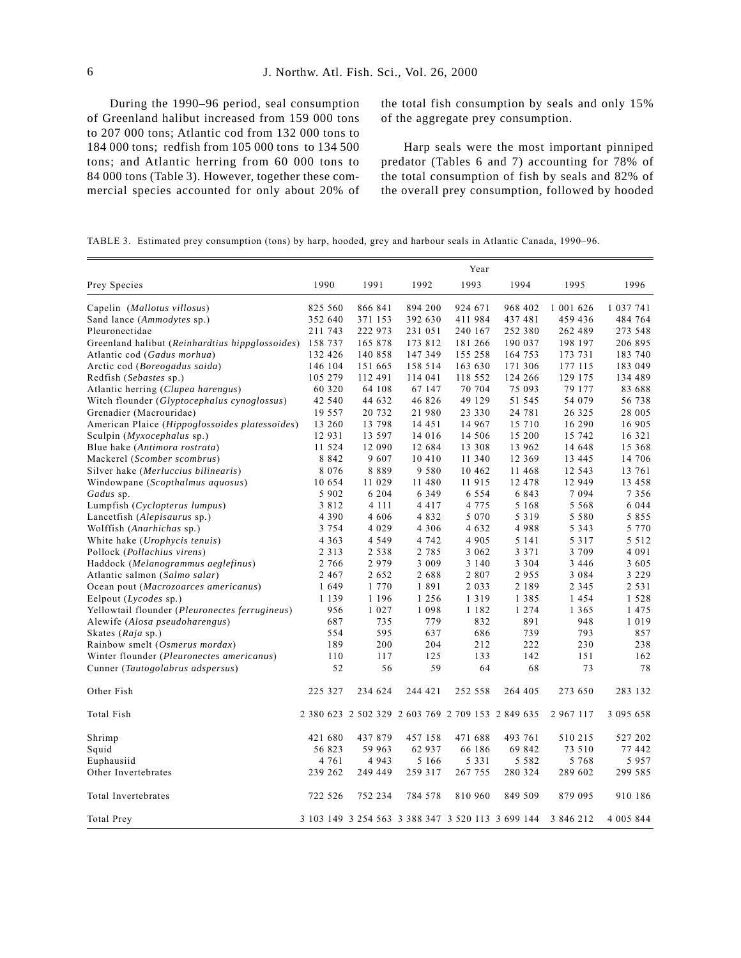During the 1990–96 period, seal consumption of Greenland halibut increased from 159 000 tons to 207 000 tons; Atlantic cod from 132 000 tons to 184 000 tons; redfish from 105 000 tons to 134 500 tons; and Atlantic herring from 60 000 tons to 84 000 tons (Table 3). However, together these commercial species accounted for only about 20% of the total fish consumption by seals and only 15% of the aggregate prey consumption.

Harp seals were the most important pinniped predator (Tables 6 and 7) accounting for 78% of the total consumption of fish by seals and 82% of the overall prey consumption, followed by hooded

| TABLE 3. Estimated prey consumption (tons) by harp, hooded, grey and harbour seals in Atlantic Canada, 1990–96. |  |  |  |  |  |  |  |
|-----------------------------------------------------------------------------------------------------------------|--|--|--|--|--|--|--|
|                                                                                                                 |  |  |  |  |  |  |  |

|                                                 |         |         |                                                   | Year     |         |               |               |
|-------------------------------------------------|---------|---------|---------------------------------------------------|----------|---------|---------------|---------------|
| Prey Species                                    | 1990    | 1991    | 1992                                              | 1993     | 1994    | 1995          | 1996          |
| Capelin (Mallotus villosus)                     | 825 560 | 866 841 | 894 200                                           | 924 671  | 968 402 | 1 001 626     | 1 0 3 7 7 4 1 |
| Sand lance (Ammodytes sp.)                      | 352 640 | 371 153 | 392 630                                           | 411 984  | 437 481 | 459 436       | 484 764       |
| Pleuronectidae                                  | 211 743 | 222 973 | 231 051                                           | 240 167  | 252 380 | 262 489       | 273 548       |
| Greenland halibut (Reinhardtius hippglossoides) | 158 737 | 165 878 | 173 812                                           | 181 266  | 190 037 | 198 197       | 206 895       |
| Atlantic cod (Gadus morhua)                     | 132 426 | 140 858 | 147 349                                           | 155 258  | 164 753 | 173 731       | 183 740       |
| Arctic cod (Boreogadus saida)                   | 146 104 | 151 665 | 158 514                                           | 163 630  | 171 306 | 177 115       | 183 049       |
| Redfish (Sebastes sp.)                          | 105 279 | 112 491 | 114 041                                           | 118 552  | 124 266 | 129 175       | 134 489       |
| Atlantic herring (Clupea harengus)              | 60 320  | 64 108  | 67 147                                            | 70 704   | 75 093  | 79 177        | 83 688        |
| Witch flounder (Glyptocephalus cynoglossus)     | 42 540  | 44 632  | 46 826                                            | 49 129   | 51 545  | 54 079        | 56 738        |
| Grenadier (Macrouridae)                         | 19 557  | 20 732  | 21 980                                            | 23 330   | 24 781  | 26 3 25       | 28 005        |
| American Plaice (Hippoglossoides platessoides)  | 13 260  | 13 798  | 14 45 1                                           | 14 9 67  | 15 710  | 16 290        | 16 905        |
| Sculpin (Myxocephalus sp.)                      | 12 931  | 13 597  | 14 016                                            | 14 506   | 15 200  | 15 742        | 16 321        |
| Blue hake (Antimora rostrata)                   | 11 524  | 12 090  | 12 684                                            | 13 308   | 13 962  | 14 648        | 15 368        |
| Mackerel (Scomber scombrus)                     | 8 8 4 2 | 9607    | 10 410                                            | 11 340   | 12 369  | 13 445        | 14 706        |
| Silver hake (Merluccius bilinearis)             | 8 0 7 6 | 8889    | 9 5 8 0                                           | 10 4 6 2 | 11 468  | 12 543        | 13 761        |
| Windowpane (Scopthalmus aquosus)                | 10 654  | 11 029  | 11 480                                            | 11 915   | 12 478  | 12 949        | 13 458        |
| Gadus sp.                                       | 5 9 0 2 | 6 2 0 4 | 6 3 4 9                                           | 6 5 5 4  | 6 8 4 3 | 7 0 9 4       | 7 3 5 6       |
| Lumpfish (Cyclopterus lumpus)                   | 3812    | 4 1 1 1 | 4417                                              | 4 7 7 5  | 5 1 6 8 | 5 5 6 8       | 6 0 4 4       |
| Lancetfish (Alepisaurus sp.)                    | 4 3 9 0 | 4 606   | 4832                                              | 5 0 7 0  | 5 3 1 9 | 5 5 8 0       | 5 8 5 5       |
| Wolffish (Anarhichas sp.)                       | 3 7 5 4 | 4 0 2 9 | 4 3 0 6                                           | 4 6 3 2  | 4988    | 5 3 4 3       | 5 7 7 0       |
| White hake (Urophycis tenuis)                   | 4 3 6 3 | 4 5 4 9 | 4 742                                             | 4 9 0 5  | 5 1 4 1 | 5 3 1 7       | 5 5 1 2       |
| Pollock (Pollachius virens)                     | 2 3 1 3 | 2 5 3 8 | 2 7 8 5                                           | 3 0 6 2  | 3 3 7 1 | 3 709         | 4 0 9 1       |
| Haddock (Melanogrammus aeglefinus)              | 2 7 6 6 | 2979    | 3 0 0 9                                           | 3 1 4 0  | 3 3 0 4 | 3 4 4 6       | 3 605         |
| Atlantic salmon (Salmo salar)                   | 2 4 6 7 | 2 6 5 2 | 2688                                              | 2807     | 2955    | 3 0 8 4       | 3 2 2 9       |
| Ocean pout (Macrozoarces americanus)            | 1 649   | 1 770   | 1891                                              | 2 0 3 3  | 2 1 8 9 | 2 3 4 5       | 2 5 3 1       |
| Eelpout $(Lycodes$ sp.)                         | 1 1 3 9 | 1 1 9 6 | 1 2 5 6                                           | 1 3 1 9  | 1 3 8 5 | 1454          | 1528          |
| Yellowtail flounder (Pleuronectes ferrugineus)  | 956     | 1 0 2 7 | 1 0 9 8                                           | 1 1 8 2  | 1 2 7 4 | 1 3 6 5       | 1475          |
| Alewife (Alosa pseudoharengus)                  | 687     | 735     | 779                                               | 832      | 891     | 948           | 1019          |
| Skates (Raja sp.)                               | 554     | 595     | 637                                               | 686      | 739     | 793           | 857           |
| Rainbow smelt (Osmerus mordax)                  | 189     | 200     | 204                                               | 212      | 222     | 230           | 238           |
| Winter flounder (Pleuronectes americanus)       | 110     | 117     | 125                                               | 133      | 142     | 151           | 162           |
| Cunner (Tautogolabrus adspersus)                | 52      | 56      | 59                                                | 64       | 68      | 73            | 78            |
| Other Fish                                      | 225 327 | 234 624 | 244 421                                           | 252 558  | 264 405 | 273 650       | 283 132       |
| <b>Total Fish</b>                               |         |         | 2 380 623 2 502 329 2 603 769 2 709 153 2 849 635 |          |         | 2 9 6 7 1 1 7 | 3 095 658     |
| Shrimp                                          | 421 680 | 437 879 | 457 158                                           | 471 688  | 493 761 | 510 215       | 527 202       |
| Squid                                           | 56 823  | 59 963  | 62 937                                            | 66 186   | 69 842  | 73 510        | 77 442        |
| Euphausiid                                      | 4 7 6 1 | 4 9 4 3 | 5 1 6 6                                           | 5 3 3 1  | 5 5 8 2 | 5 7 6 8       | 5957          |
| Other Invertebrates                             | 239 262 | 249 449 | 259 317                                           | 267 755  | 280 324 | 289 602       | 299 585       |
| Total Invertebrates                             | 722 526 | 752 234 | 784 578                                           | 810 960  | 849 509 | 879 095       | 910 186       |
| Total Prey                                      |         |         | 3 103 149 3 254 563 3 388 347 3 520 113 3 699 144 |          |         | 3 846 212     | 4 005 844     |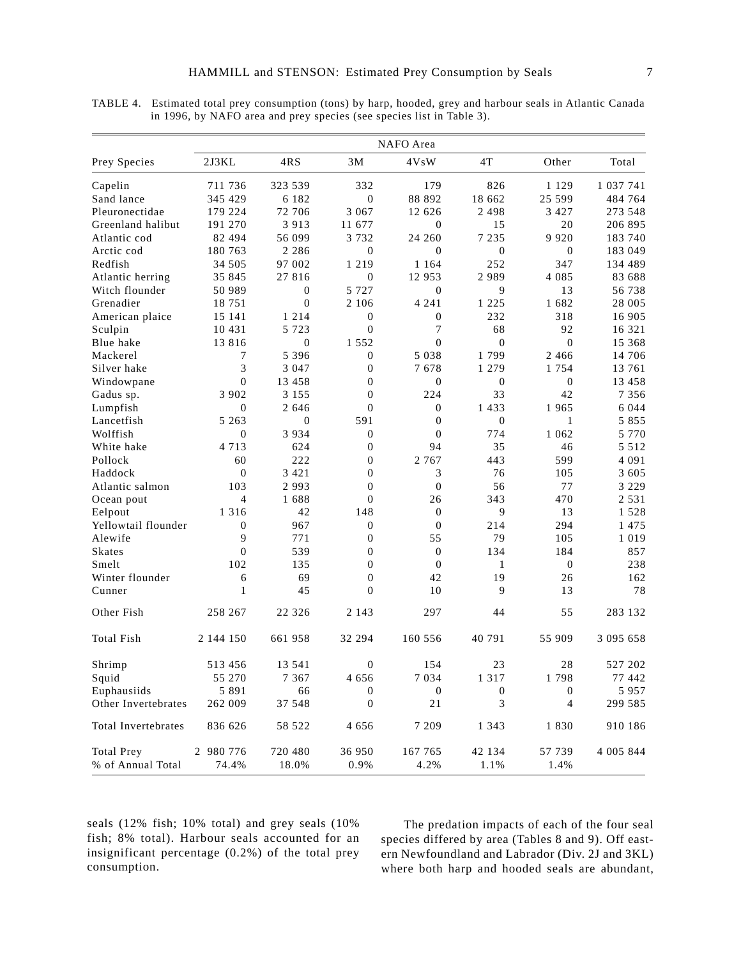|                     |                  |              |                  | NAFO Area        |                  |                |               |
|---------------------|------------------|--------------|------------------|------------------|------------------|----------------|---------------|
| Prey Species        | 2J3KL            | 4RS          | 3M               | 4VsW             | 4T               | Other          | Total         |
| Capelin             | 711 736          | 323 539      | 332              | 179              | 826              | 1 1 2 9        | 1 0 3 7 7 4 1 |
| Sand lance          | 345 429          | 6 1 8 2      | $\mathbf{0}$     | 88 892           | 18 662           | 25 599         | 484 764       |
| Pleuronectidae      | 179 224          | 72 706       | 3 0 6 7          | 12 626           | 2 4 9 8          | 3 4 2 7        | 273 548       |
| Greenland halibut   | 191 270          | 3913         | 11 677           | $\boldsymbol{0}$ | 15               | 20             | 206 895       |
| Atlantic cod        | 82 494           | 56 099       | 3732             | 24 260           | 7 2 3 5          | 9 9 2 0        | 183 740       |
| Arctic cod          | 180 763          | 2 2 8 6      | $\mathbf{0}$     | $\overline{0}$   | $\mathbf{0}$     | $\theta$       | 183 049       |
| Redfish             | 34 505           | 97 002       | 1 2 1 9          | 1 1 6 4          | 252              | 347            | 134 489       |
| Atlantic herring    | 35 845           | 27 816       | $\Omega$         | 12953            | 2989             | 4 0 8 5        | 83 688        |
| Witch flounder      | 50 989           | $\mathbf{0}$ | 5 7 2 7          | $\overline{0}$   | 9                | 13             | 56 738        |
| Grenadier           | 18751            | $\mathbf{0}$ | 2 1 0 6          | 4 2 4 1          | 1 2 2 5          | 1682           | 28 005        |
| American plaice     | 15 14 1          | 1 2 1 4      | $\theta$         | $\mathbf{0}$     | 232              | 318            | 16 905        |
| Sculpin             | 10 4 3 1         | 5 7 2 3      | $\Omega$         | 7                | 68               | 92             | 16 321        |
| Blue hake           | 13 8 16          | $\mathbf{0}$ | 1 5 5 2          | $\theta$         | $\overline{0}$   | $\Omega$       | 15 368        |
| Mackerel            | 7                | 5 3 9 6      | $\mathbf{0}$     | 5 0 3 8          | 1799             | 2466           | 14 706        |
| Silver hake         | 3                | 3 0 4 7      | $\overline{0}$   | 7678             | 1 279            | 1 7 5 4        | 13 761        |
| Windowpane          | $\overline{0}$   | 13 458       | $\overline{0}$   | $\mathbf{0}$     | $\theta$         | $\mathbf{0}$   | 13 458        |
| Gadus sp.           | 3 9 0 2          | 3 1 5 5      | $\mathbf{0}$     | 2.2.4            | 33               | 42             | 7 3 5 6       |
| Lumpfish            | $\boldsymbol{0}$ | 2 646        | $\theta$         | $\boldsymbol{0}$ | 1 4 3 3          | 1965           | 6 0 4 4       |
| Lancetfish          | 5 2 6 3          | $\Omega$     | 591              | $\boldsymbol{0}$ | $\Omega$         | $\mathbf{1}$   | 5 8 5 5       |
| Wolffish            | $\Omega$         | 3 9 3 4      | $\Omega$         | $\theta$         | 774              | 1 0 6 2        | 5 7 7 0       |
| White hake          | 4 7 1 3          | 624          | $\Omega$         | 94               | 35               | 46             | 5 5 1 2       |
| Pollock             | 60               | 222          | $\Omega$         | 2 7 6 7          | 443              | 599            | 4 0 9 1       |
| Haddock             | $\theta$         | 3 4 2 1      | $\mathbf{0}$     | 3                | 76               | 105            | 3 605         |
| Atlantic salmon     | 103              | 2993         | $\Omega$         | $\mathbf{0}$     | 56               | 77             | 3 2 2 9       |
| Ocean pout          | $\overline{4}$   | 1688         | $\Omega$         | 26               | 343              | 470            | 2 5 3 1       |
| Eelpout             | 1 3 1 6          | 42           | 148              | $\boldsymbol{0}$ | 9                | 13             | 1528          |
| Yellowtail flounder | $\boldsymbol{0}$ | 967          | $\boldsymbol{0}$ | $\boldsymbol{0}$ | 214              | 294            | 1 4 7 5       |
| Alewife             | 9                | 771          | $\mathbf{0}$     | 55               | 79               | 105            | 1 0 1 9       |
| <b>Skates</b>       | $\mathbf{0}$     | 539          | $\mathbf{0}$     | $\mathbf{0}$     | 134              | 184            | 857           |
| Smelt               | 102              | 135          | $\mathbf{0}$     | $\overline{0}$   | $\mathbf{1}$     | $\theta$       | 238           |
| Winter flounder     | 6                | 69           | $\boldsymbol{0}$ | 42               | 19               | 26             | 162           |
| Cunner              | $\mathbf{1}$     | 45           | $\Omega$         | 10               | 9                | 13             | 78            |
| Other Fish          | 258 267          | 22 3 2 6     | 2 1 4 3          | 297              | 44               | 55             | 283 132       |
| Total Fish          | 2 144 150        | 661 958      | 32 294           | 160 556          | 40 791           | 55 909         | 3 095 658     |
| Shrimp              | 513 456          | 13 541       | $\theta$         | 154              | 23               | 28             | 527 202       |
| Squid               | 55 270           | 7 3 6 7      | 4 656            | 7 0 3 4          | 1 3 1 7          | 1798           | 77 442        |
| Euphausiids         | 5 8 9 1          | 66           | $\boldsymbol{0}$ | $\boldsymbol{0}$ | $\boldsymbol{0}$ | $\Omega$       | 5957          |
| Other Invertebrates | 262 009          | 37 548       | $\theta$         | 21               | 3                | $\overline{4}$ | 299 585       |
| Total Invertebrates | 836 626          | 58 522       | 4 656            | 7 209            | 1 3 4 3          | 1830           | 910 186       |
| <b>Total Prev</b>   | 2 980 776        | 720 480      | 36 950           | 167 765          | 42 134           | 57 739         | 4 005 844     |

% of Annual Total 74.4% 18.0% 0.9% 4.2% 1.1% 1.4%

TABLE 4. Estimated total prey consumption (tons) by harp, hooded, grey and harbour seals in Atlantic Canada in 1996, by NAFO area and prey species (see species list in Table 3).

seals (12% fish; 10% total) and grey seals (10% fish; 8% total). Harbour seals accounted for an insignificant percentage (0.2%) of the total prey consumption.

The predation impacts of each of the four seal species differed by area (Tables 8 and 9). Off eastern Newfoundland and Labrador (Div. 2J and 3KL) where both harp and hooded seals are abundant,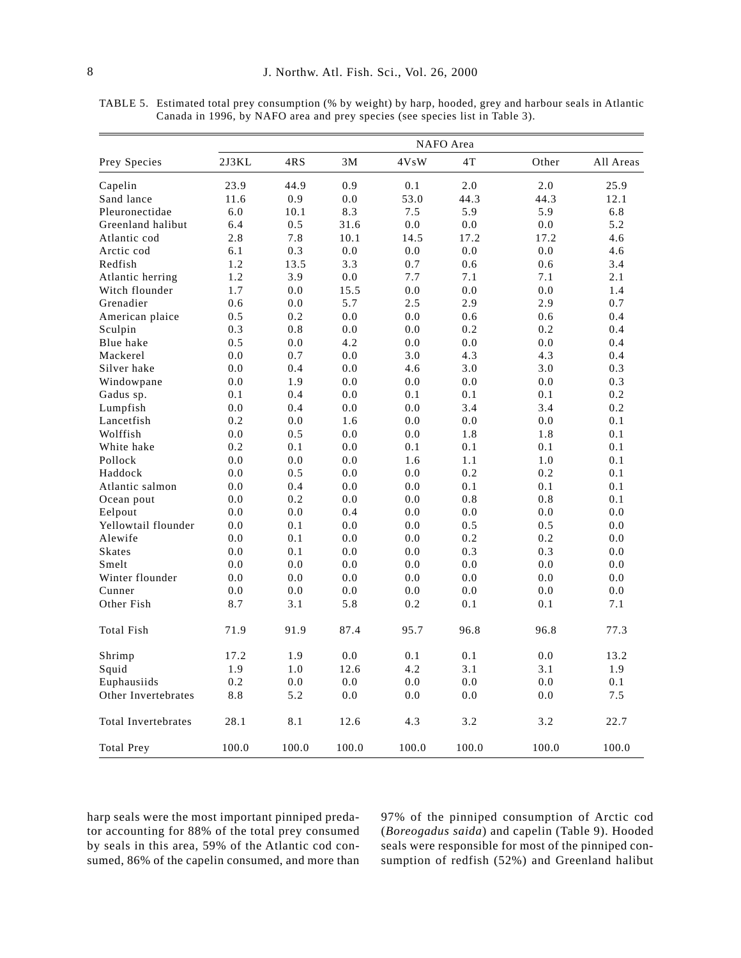|                     |       |       |       |       | NAFO Area |       |           |
|---------------------|-------|-------|-------|-------|-----------|-------|-----------|
| Prey Species        | 2J3KL | 4RS   | 3M    | 4VsW  | 4T        | Other | All Areas |
| Capelin             | 23.9  | 44.9  | 0.9   | 0.1   | 2.0       | 2.0   | 25.9      |
| Sand lance          | 11.6  | 0.9   | 0.0   | 53.0  | 44.3      | 44.3  | 12.1      |
| Pleuronectidae      | 6.0   | 10.1  | 8.3   | 7.5   | 5.9       | 5.9   | 6.8       |
| Greenland halibut   | 6.4   | 0.5   | 31.6  | 0.0   | 0.0       | 0.0   | 5.2       |
| Atlantic cod        | 2.8   | 7.8   | 10.1  | 14.5  | 17.2      | 17.2  | 4.6       |
| Arctic cod          | 6.1   | 0.3   | 0.0   | 0.0   | 0.0       | 0.0   | 4.6       |
| Redfish             | 1.2   | 13.5  | 3.3   | 0.7   | 0.6       | 0.6   | 3.4       |
| Atlantic herring    | 1.2   | 3.9   | 0.0   | 7.7   | 7.1       | 7.1   | 2.1       |
| Witch flounder      | 1.7   | 0.0   | 15.5  | 0.0   | 0.0       | 0.0   | 1.4       |
| Grenadier           | 0.6   | 0.0   | 5.7   | 2.5   | 2.9       | 2.9   | 0.7       |
| American plaice     | 0.5   | 0.2   | 0.0   | 0.0   | 0.6       | 0.6   | 0.4       |
| Sculpin             | 0.3   | 0.8   | 0.0   | 0.0   | 0.2       | 0.2   | 0.4       |
| Blue hake           | 0.5   | 0.0   | 4.2   | 0.0   | 0.0       | 0.0   | 0.4       |
| Mackerel            | 0.0   | 0.7   | 0.0   | 3.0   | 4.3       | 4.3   | 0.4       |
| Silver hake         | 0.0   | 0.4   | 0.0   | 4.6   | 3.0       | 3.0   | 0.3       |
| Windowpane          | 0.0   | 1.9   | 0.0   | 0.0   | 0.0       | 0.0   | 0.3       |
| Gadus sp.           | 0.1   | 0.4   | 0.0   | 0.1   | 0.1       | 0.1   | 0.2       |
| Lumpfish            | 0.0   | 0.4   | 0.0   | 0.0   | 3.4       | 3.4   | 0.2       |
| Lancetfish          | 0.2   | 0.0   | 1.6   | 0.0   | 0.0       | 0.0   | 0.1       |
| Wolffish            | 0.0   | 0.5   | 0.0   | 0.0   | 1.8       | 1.8   | 0.1       |
| White hake          | 0.2   | 0.1   | 0.0   | 0.1   | 0.1       | 0.1   | 0.1       |
| Pollock             | 0.0   | 0.0   | 0.0   | 1.6   | 1.1       | 1.0   | 0.1       |
| Haddock             | 0.0   | 0.5   | 0.0   | 0.0   | 0.2       | 0.2   | 0.1       |
| Atlantic salmon     | 0.0   | 0.4   | 0.0   | 0.0   | 0.1       | 0.1   | 0.1       |
| Ocean pout          | 0.0   | 0.2   | 0.0   | 0.0   | 0.8       | 0.8   | 0.1       |
| Eelpout             | 0.0   | 0.0   | 0.4   | 0.0   | 0.0       | 0.0   | 0.0       |
| Yellowtail flounder | 0.0   | 0.1   | 0.0   | 0.0   | 0.5       | 0.5   | 0.0       |
| Alewife             | 0.0   | 0.1   | 0.0   | 0.0   | 0.2       | 0.2   | 0.0       |
| <b>Skates</b>       | 0.0   | 0.1   | 0.0   | 0.0   | 0.3       | 0.3   | 0.0       |
| Smelt               | 0.0   | 0.0   | 0.0   | 0.0   | 0.0       | 0.0   | 0.0       |
| Winter flounder     | 0.0   | 0.0   | 0.0   | 0.0   | 0.0       | 0.0   | 0.0       |
| Cunner              | 0.0   | 0.0   | 0.0   | 0.0   | 0.0       | 0.0   | 0.0       |
| Other Fish          | 8.7   | 3.1   | 5.8   | 0.2   | 0.1       | 0.1   | 7.1       |
| <b>Total Fish</b>   | 71.9  | 91.9  | 87.4  | 95.7  | 96.8      | 96.8  | 77.3      |
| Shrimp              | 17.2  | 1.9   | 0.0   | 0.1   | 0.1       | 0.0   | 13.2      |
| Squid               | 1.9   | 1.0   | 12.6  | 4.2   | 3.1       | 3.1   | 1.9       |
| Euphausiids         | 0.2   | 0.0   | 0.0   | 0.0   | 0.0       | 0.0   | 0.1       |
| Other Invertebrates | 8.8   | 5.2   | 0.0   | 0.0   | 0.0       | 0.0   | 7.5       |
| Total Invertebrates | 28.1  | 8.1   | 12.6  | 4.3   | 3.2       | 3.2   | 22.7      |
| <b>Total Prev</b>   | 100.0 | 100.0 | 100.0 | 100.0 | 100.0     | 100.0 | 100.0     |

TABLE 5. Estimated total prey consumption (% by weight) by harp, hooded, grey and harbour seals in Atlantic Canada in 1996, by NAFO area and prey species (see species list in Table 3).

harp seals were the most important pinniped predator accounting for 88% of the total prey consumed by seals in this area, 59% of the Atlantic cod consumed, 86% of the capelin consumed, and more than 97% of the pinniped consumption of Arctic cod (*Boreogadus saida*) and capelin (Table 9). Hooded seals were responsible for most of the pinniped consumption of redfish (52%) and Greenland halibut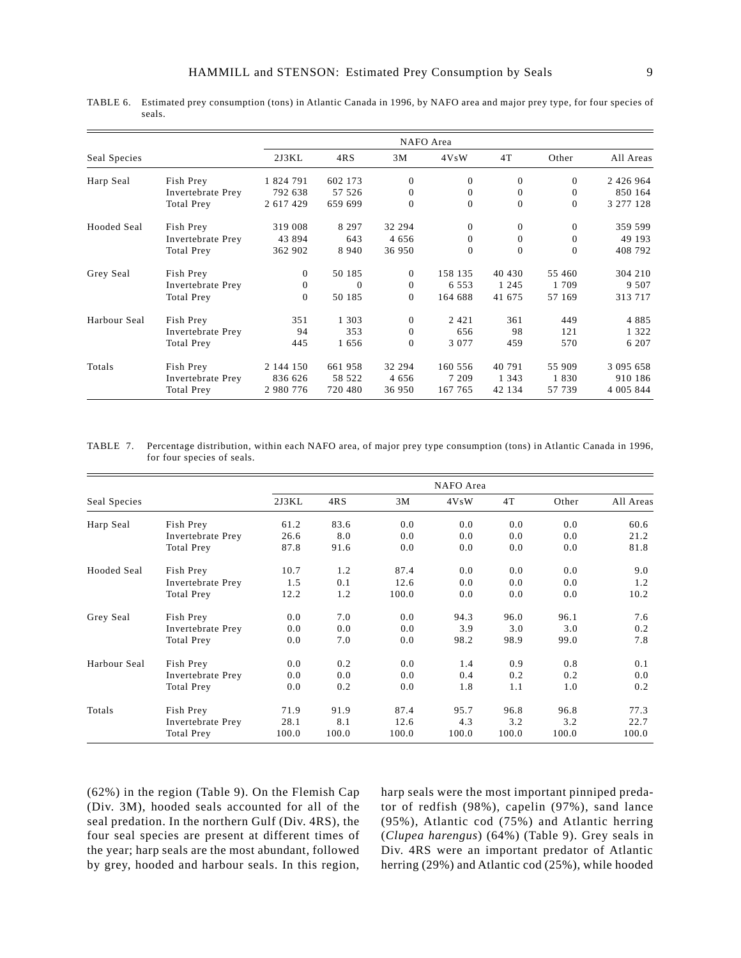|              |                   |                |          |          | NAFO Area    |          |                  |               |
|--------------|-------------------|----------------|----------|----------|--------------|----------|------------------|---------------|
| Seal Species |                   | 2J3KL          | 4RS      | 3M       | 4VsW         | 4T       | Other            | All Areas     |
| Harp Seal    | Fish Prey         | 1 824 791      | 602 173  | $\theta$ | $\mathbf{0}$ | $\theta$ | $\theta$         | 2 4 2 6 9 6 4 |
|              | Invertebrate Prey | 792 638        | 57 526   | $\theta$ | $\mathbf{0}$ | $\theta$ | $\boldsymbol{0}$ | 850 164       |
|              | Total Prey        | 2 617 429      | 659 699  | $\Omega$ | $\mathbf{0}$ | $\theta$ | $\overline{0}$   | 3 277 128     |
| Hooded Seal  | Fish Prey         | 319 008        | 8 2 9 7  | 32 294   | $\mathbf{0}$ | $\theta$ | $\theta$         | 359 599       |
|              | Invertebrate Prey | 43 894         | 643      | 4 6 5 6  | $\mathbf{0}$ | $\theta$ | $\overline{0}$   | 49 193        |
|              | <b>Total Prey</b> | 362 902        | 8 9 4 0  | 36 950   | $\mathbf{0}$ | $\theta$ | $\overline{0}$   | 408 792       |
| Grey Seal    | Fish Prey         | $\overline{0}$ | 50 185   | $\theta$ | 158 135      | 40 430   | 55 460           | 304 210       |
|              | Invertebrate Prey | $\mathbf{0}$   | $\Omega$ | $\theta$ | 6 5 5 3      | 1 2 4 5  | 1 709            | 9 5 0 7       |
|              | <b>Total Prey</b> | $\Omega$       | 50 185   | $\Omega$ | 164 688      | 41 675   | 57 169           | 313 717       |
| Harbour Seal | Fish Prey         | 351            | 1 3 0 3  | $\theta$ | 2 4 2 1      | 361      | 449              | 4885          |
|              | Invertebrate Prey | 94             | 353      | $\theta$ | 656          | 98       | 121              | 1 3 2 2       |
|              | <b>Total Prey</b> | 445            | 1656     | $\theta$ | 3 0 7 7      | 459      | 570              | 6 207         |
| Totals       | Fish Prey         | 2 144 150      | 661 958  | 32 294   | 160 556      | 40 791   | 55 909           | 3 095 658     |
|              | Invertebrate Prey | 836 626        | 58 522   | 4 6 5 6  | 7 2 0 9      | 1 3 4 3  | 1830             | 910 186       |
|              | <b>Total Prey</b> | 2 980 776      | 720 480  | 36 950   | 167 765      | 42 134   | 57 739           | 4 005 844     |

TABLE 6. Estimated prey consumption (tons) in Atlantic Canada in 1996, by NAFO area and major prey type, for four species of seals.

TABLE 7. Percentage distribution, within each NAFO area, of major prey type consumption (tons) in Atlantic Canada in 1996, for four species of seals.

|              |                   |       |       |       | NAFO Area |       |       |           |
|--------------|-------------------|-------|-------|-------|-----------|-------|-------|-----------|
| Seal Species |                   | 2J3KL | 4RS   | 3M    | 4VsW      | 4T    | Other | All Areas |
| Harp Seal    | Fish Prey         | 61.2  | 83.6  | 0.0   | 0.0       | 0.0   | 0.0   | 60.6      |
|              | Invertebrate Prey | 26.6  | 8.0   | 0.0   | 0.0       | 0.0   | 0.0   | 21.2      |
|              | <b>Total Prey</b> | 87.8  | 91.6  | 0.0   | 0.0       | 0.0   | 0.0   | 81.8      |
| Hooded Seal  | Fish Prey         | 10.7  | 1.2   | 87.4  | 0.0       | 0.0   | 0.0   | 9.0       |
|              | Invertebrate Prey | 1.5   | 0.1   | 12.6  | 0.0       | 0.0   | 0.0   | 1.2       |
|              | <b>Total Prey</b> | 12.2  | 1.2   | 100.0 | 0.0       | 0.0   | 0.0   | 10.2      |
| Grey Seal    | Fish Prey         | 0.0   | 7.0   | 0.0   | 94.3      | 96.0  | 96.1  | 7.6       |
|              | Invertebrate Prey | 0.0   | 0.0   | 0.0   | 3.9       | 3.0   | 3.0   | 0.2       |
|              | Total Prey        | 0.0   | 7.0   | 0.0   | 98.2      | 98.9  | 99.0  | 7.8       |
| Harbour Seal | Fish Prey         | 0.0   | 0.2   | 0.0   | 1.4       | 0.9   | 0.8   | 0.1       |
|              | Invertebrate Prey | 0.0   | 0.0   | 0.0   | 0.4       | 0.2   | 0.2   | 0.0       |
|              | Total Prey        | 0.0   | 0.2   | 0.0   | 1.8       | 1.1   | 1.0   | 0.2       |
| Totals       | Fish Prey         | 71.9  | 91.9  | 87.4  | 95.7      | 96.8  | 96.8  | 77.3      |
|              | Invertebrate Prey | 28.1  | 8.1   | 12.6  | 4.3       | 3.2   | 3.2   | 22.7      |
|              | <b>Total Prey</b> | 100.0 | 100.0 | 100.0 | 100.0     | 100.0 | 100.0 | 100.0     |

(62%) in the region (Table 9). On the Flemish Cap (Div. 3M), hooded seals accounted for all of the seal predation. In the northern Gulf (Div. 4RS), the four seal species are present at different times of the year; harp seals are the most abundant, followed by grey, hooded and harbour seals. In this region,

harp seals were the most important pinniped predator of redfish (98%), capelin (97%), sand lance (95%), Atlantic cod (75%) and Atlantic herring (*Clupea harengus*) (64%) (Table 9). Grey seals in Div. 4RS were an important predator of Atlantic herring (29%) and Atlantic cod (25%), while hooded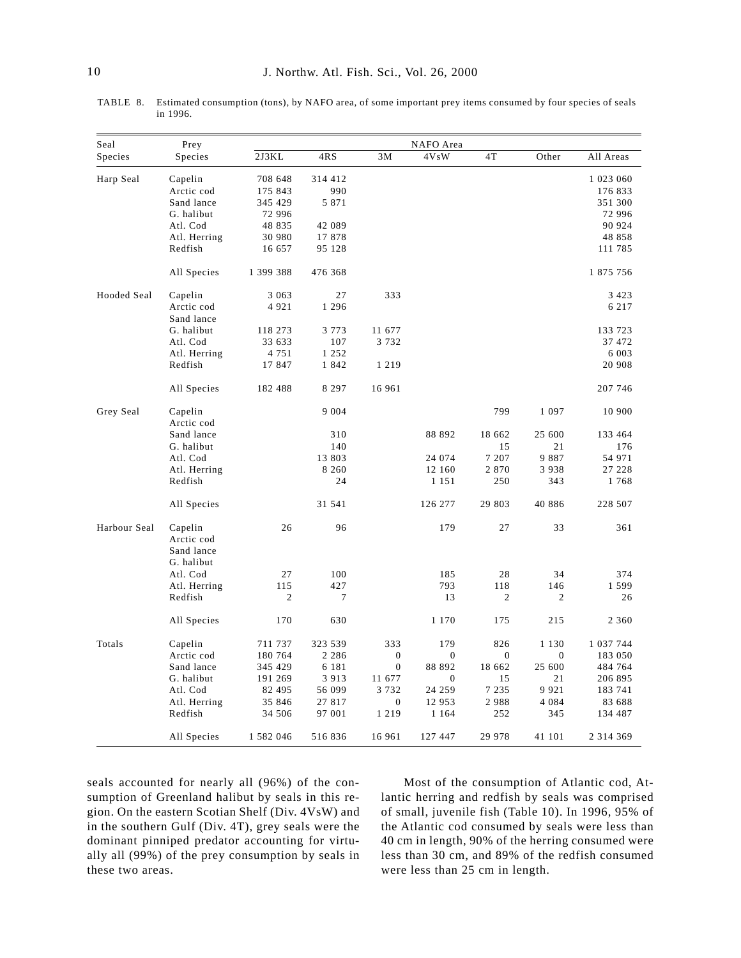TABLE 8. Estimated consumption (tons), by NAFO area, of some important prey items consumed by four species of seals in 1996.

| Seal         | Prey                     |                |         |                | NAFO Area        |                |                |               |
|--------------|--------------------------|----------------|---------|----------------|------------------|----------------|----------------|---------------|
| Species      | Species                  | 2J3KL          | 4RS     | 3M             | 4VsW             | 4T             | Other          | All Areas     |
| Harp Seal    | Capelin                  | 708 648        | 314 412 |                |                  |                |                | 1 023 060     |
|              | Arctic cod               | 175 843        | 990     |                |                  |                |                | 176 833       |
|              | Sand lance               | 345 429        | 5 8 7 1 |                |                  |                |                | 351 300       |
|              | G. halibut               | 72 996         |         |                |                  |                |                | 72 996        |
|              | Atl. Cod                 | 48 835         | 42 089  |                |                  |                |                | 90 924        |
|              | Atl. Herring             | 30 980         | 17878   |                |                  |                |                | 48 858        |
|              | Redfish                  | 16 657         | 95 128  |                |                  |                |                | 111 785       |
|              | All Species              | 1 399 388      | 476 368 |                |                  |                |                | 1 875 756     |
| Hooded Seal  | Capelin                  | 3 0 6 3        | 27      | 333            |                  |                |                | 3 4 2 3       |
|              | Arctic cod<br>Sand lance | 4921           | 1 2 9 6 |                |                  |                |                | 6 2 1 7       |
|              | G. halibut               | 118 273        | 3 7 7 3 | 11 677         |                  |                |                | 133 723       |
|              | Atl. Cod                 | 33 633         | 107     | 3732           |                  |                |                | 37 472        |
|              | Atl. Herring             | 4 7 5 1        | 1 2 5 2 |                |                  |                |                | 6 0 0 3       |
|              | Redfish                  | 17847          | 1842    | 1 2 1 9        |                  |                |                | 20 908        |
|              | All Species              | 182 488        | 8 2 9 7 | 16 961         |                  |                |                | 207 746       |
| Grey Seal    | Capelin<br>Arctic cod    |                | 9 0 0 4 |                |                  | 799            | 1 0 9 7        | 10 900        |
|              | Sand lance               |                | 310     |                | 88 892           | 18 662         | 25 600         | 133 464       |
|              | G. halibut               |                | 140     |                |                  | 15             | 21             | 176           |
|              | Atl. Cod                 |                | 13 803  |                | 24 074           | 7 207          | 9887           | 54 971        |
|              | Atl. Herring             |                | 8 2 6 0 |                | 12 160           | 2870           | 3938           | 27 228        |
|              | Redfish                  |                | 24      |                | 1 1 5 1          | 250            | 343            | 1768          |
|              | All Species              |                | 31 541  |                | 126 277          | 29 803         | 40 886         | 228 507       |
| Harbour Seal | Capelin                  | 26             | 96      |                | 179              | 27             | 33             | 361           |
|              | Arctic cod<br>Sand lance |                |         |                |                  |                |                |               |
|              | G. halibut               |                |         |                |                  |                |                |               |
|              | Atl. Cod                 | 27             | 100     |                | 185              | 28             | 34             | 374           |
|              | Atl. Herring             | 115            | 427     |                | 793              | 118            | 146            | 1 5 9 9       |
|              | Redfish                  | $\mathfrak{2}$ | 7       |                | 13               | $\overline{2}$ | $\mathfrak{2}$ | 26            |
|              | All Species              | 170            | 630     |                | 1 1 7 0          | 175            | 215            | 2 3 6 0       |
| Totals       | Capelin                  | 711 737        | 323 539 | 333            | 179              | 826            | 1 1 3 0        | 1 0 3 7 7 4 4 |
|              | Arctic cod               | 180 764        | 2 2 8 6 | $\mathbf{0}$   | $\mathbf 0$      | $\theta$       | $\theta$       | 183 050       |
|              | Sand lance               | 345 429        | 6 1 8 1 | $\overline{0}$ | 88 892           | 18 662         | 25 600         | 484 764       |
|              | G. halibut               | 191 269        | 3 9 1 3 | 11 677         | $\boldsymbol{0}$ | 15             | 21             | 206 895       |
|              | Atl. Cod                 | 82 495         | 56 099  | 3732           | 24 259           | 7 2 3 5        | 9921           | 183 741       |
|              | Atl. Herring             | 35 846         | 27817   | $\mathbf{0}$   | 12 953           | 2988           | 4 0 8 4        | 83 688        |
|              | Redfish                  | 34 506         | 97 001  | 1 2 1 9        | 1 1 6 4          | 252            | 345            | 134 487       |
|              | All Species              | 1 582 046      | 516836  | 16 961         | 127 447          | 29 978         | 41 101         | 2 3 1 4 3 6 9 |

seals accounted for nearly all (96%) of the consumption of Greenland halibut by seals in this region. On the eastern Scotian Shelf (Div. 4VsW) and in the southern Gulf (Div. 4T), grey seals were the dominant pinniped predator accounting for virtually all (99%) of the prey consumption by seals in these two areas.

Most of the consumption of Atlantic cod, Atlantic herring and redfish by seals was comprised of small, juvenile fish (Table 10). In 1996, 95% of the Atlantic cod consumed by seals were less than 40 cm in length, 90% of the herring consumed were less than 30 cm, and 89% of the redfish consumed were less than 25 cm in length.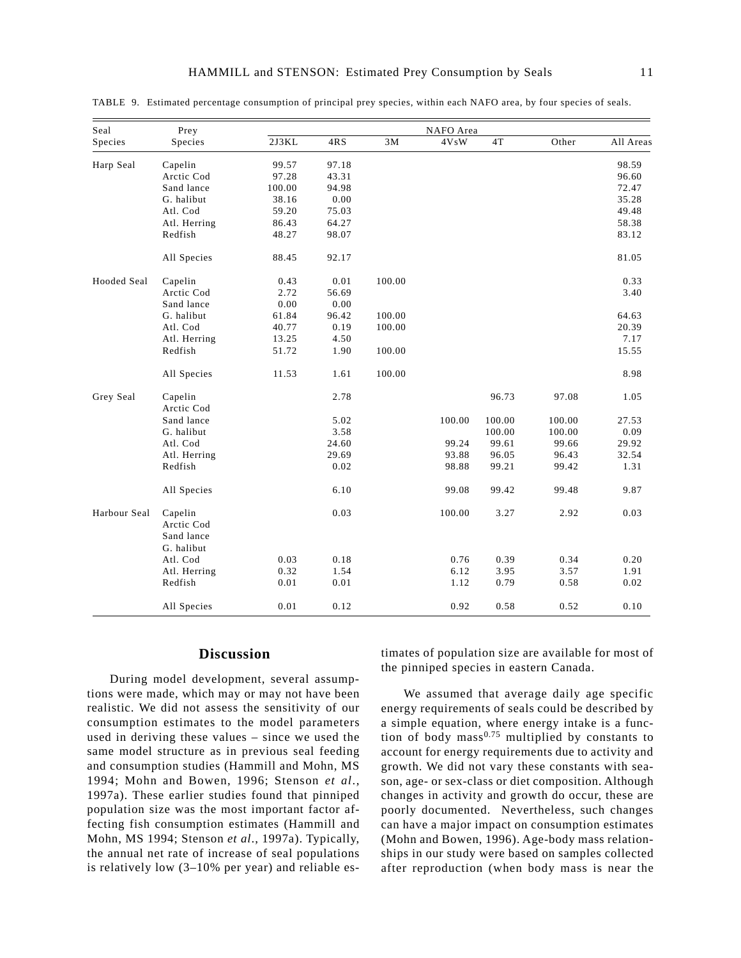| Seal         | Prey                                |        |       |        | NAFO Area |               |        |           |
|--------------|-------------------------------------|--------|-------|--------|-----------|---------------|--------|-----------|
| Species      | Species                             | 2J3KL  | 4RS   | 3M     | 4VsW      | $4\mathrm{T}$ | Other  | All Areas |
| Harp Seal    | Capelin                             | 99.57  | 97.18 |        |           |               |        | 98.59     |
|              | Arctic Cod                          | 97.28  | 43.31 |        |           |               |        | 96.60     |
|              | Sand lance                          | 100.00 | 94.98 |        |           |               |        | 72.47     |
|              | G. halibut                          | 38.16  | 0.00  |        |           |               |        | 35.28     |
|              | Atl. Cod                            | 59.20  | 75.03 |        |           |               |        | 49.48     |
|              | Atl. Herring                        | 86.43  | 64.27 |        |           |               |        | 58.38     |
|              | Redfish                             | 48.27  | 98.07 |        |           |               |        | 83.12     |
|              | All Species                         | 88.45  | 92.17 |        |           |               |        | 81.05     |
| Hooded Seal  | Capelin                             | 0.43   | 0.01  | 100.00 |           |               |        | 0.33      |
|              | Arctic Cod                          | 2.72   | 56.69 |        |           |               |        | 3.40      |
|              | Sand lance                          | 0.00   | 0.00  |        |           |               |        |           |
|              | G. halibut                          | 61.84  | 96.42 | 100.00 |           |               |        | 64.63     |
|              | Atl. Cod                            | 40.77  | 0.19  | 100.00 |           |               |        | 20.39     |
|              | Atl. Herring                        | 13.25  | 4.50  |        |           |               |        | 7.17      |
|              | Redfish                             | 51.72  | 1.90  | 100.00 |           |               |        | 15.55     |
|              | All Species                         | 11.53  | 1.61  | 100.00 |           |               |        | 8.98      |
| Grey Seal    | Capelin                             |        | 2.78  |        |           | 96.73         | 97.08  | 1.05      |
|              | Arctic Cod                          |        |       |        |           |               |        |           |
|              | Sand lance                          |        | 5.02  |        | 100.00    | 100.00        | 100.00 | 27.53     |
|              | G. halibut                          |        | 3.58  |        |           | 100.00        | 100.00 | 0.09      |
|              | Atl. Cod                            |        | 24.60 |        | 99.24     | 99.61         | 99.66  | 29.92     |
|              | Atl. Herring                        |        | 29.69 |        | 93.88     | 96.05         | 96.43  | 32.54     |
|              | Redfish                             |        | 0.02  |        | 98.88     | 99.21         | 99.42  | 1.31      |
|              | All Species                         |        | 6.10  |        | 99.08     | 99.42         | 99.48  | 9.87      |
| Harbour Seal | Capelin<br>Arctic Cod<br>Sand lance |        | 0.03  |        | 100.00    | 3.27          | 2.92   | 0.03      |
|              | G. halibut                          |        |       |        |           |               |        |           |
|              | Atl. Cod                            | 0.03   | 0.18  |        | 0.76      | 0.39          | 0.34   | 0.20      |
|              | Atl. Herring                        | 0.32   | 1.54  |        | 6.12      | 3.95          | 3.57   | 1.91      |
|              | Redfish                             | 0.01   | 0.01  |        | 1.12      | 0.79          | 0.58   | 0.02      |
|              | All Species                         | 0.01   | 0.12  |        | 0.92      | 0.58          | 0.52   | $0.10\,$  |

TABLE 9. Estimated percentage consumption of principal prey species, within each NAFO area, by four species of seals.

# **Discussion**

During model development, several assumptions were made, which may or may not have been realistic. We did not assess the sensitivity of our consumption estimates to the model parameters used in deriving these values – since we used the same model structure as in previous seal feeding and consumption studies (Hammill and Mohn, MS 1994; Mohn and Bowen, 1996; Stenson *et al*., 1997a). These earlier studies found that pinniped population size was the most important factor affecting fish consumption estimates (Hammill and Mohn, MS 1994; Stenson *et al*., 1997a). Typically, the annual net rate of increase of seal populations is relatively low (3–10% per year) and reliable estimates of population size are available for most of the pinniped species in eastern Canada.

We assumed that average daily age specific energy requirements of seals could be described by a simple equation, where energy intake is a function of body mass<sup> $0.75$ </sup> multiplied by constants to account for energy requirements due to activity and growth. We did not vary these constants with season, age- or sex-class or diet composition. Although changes in activity and growth do occur, these are poorly documented. Nevertheless, such changes can have a major impact on consumption estimates (Mohn and Bowen, 1996). Age-body mass relationships in our study were based on samples collected after reproduction (when body mass is near the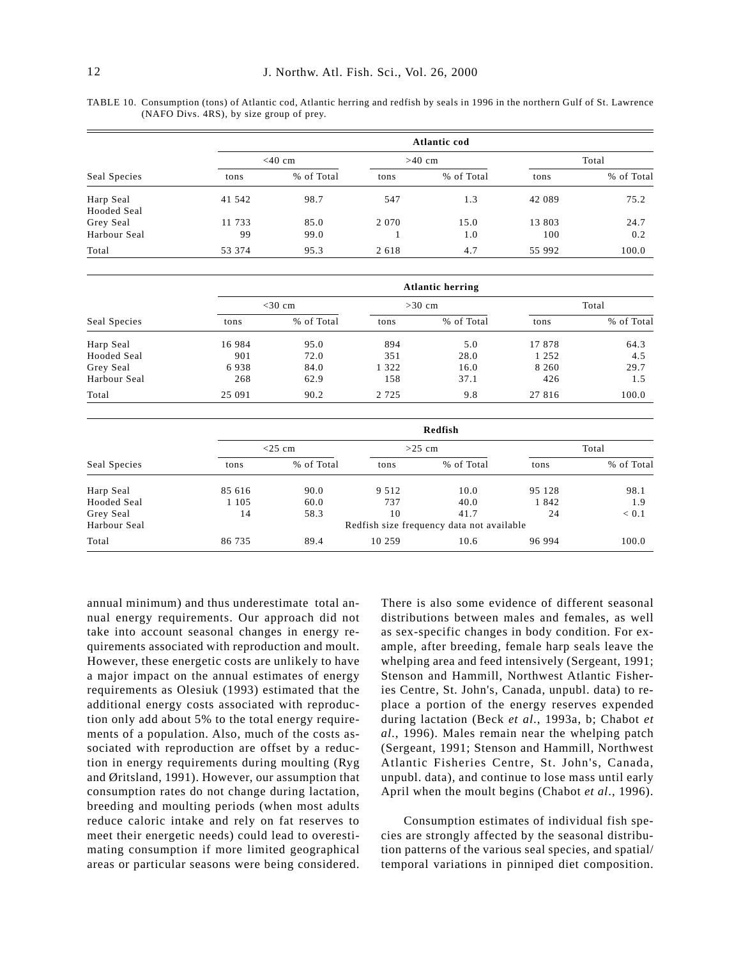TABLE 10. Consumption (tons) of Atlantic cod, Atlantic herring and redfish by seals in 1996 in the northern Gulf of St. Lawrence (NAFO Divs. 4RS), by size group of prey.

|              |        | <b>Atlantic cod</b> |         |            |        |            |  |  |  |  |  |  |
|--------------|--------|---------------------|---------|------------|--------|------------|--|--|--|--|--|--|
|              |        | $<$ 40 cm           |         | $>40$ cm   |        | Total      |  |  |  |  |  |  |
| Seal Species | tons   | % of Total          | tons    | % of Total | tons   | % of Total |  |  |  |  |  |  |
| Harp Seal    | 41 542 | 98.7                | 547     | 1.3        | 42 089 | 75.2       |  |  |  |  |  |  |
| Hooded Seal  |        |                     |         |            |        |            |  |  |  |  |  |  |
| Grey Seal    | 11 733 | 85.0                | 2 0 7 0 | 15.0       | 13 803 | 24.7       |  |  |  |  |  |  |
| Harbour Seal | 99     | 99.0                |         | 1.0        | 100    | 0.2        |  |  |  |  |  |  |
| Total        | 53 374 | 95.3                | 2 6 1 8 | 4.7        | 55 992 | 100.0      |  |  |  |  |  |  |

|              |        | <b>Atlantic herring</b> |         |            |         |            |  |  |  |  |  |  |
|--------------|--------|-------------------------|---------|------------|---------|------------|--|--|--|--|--|--|
| Seal Species |        | $<$ 30 cm               |         | $>30$ cm   | Total   |            |  |  |  |  |  |  |
|              | tons   | % of Total              | tons    | % of Total | tons    | % of Total |  |  |  |  |  |  |
| Harp Seal    | 16984  | 95.0                    | 894     | 5.0        | 17878   | 64.3       |  |  |  |  |  |  |
| Hooded Seal  | 901    | 72.0                    | 351     | 28.0       | 1 2 5 2 | 4.5        |  |  |  |  |  |  |
| Grey Seal    | 6938   | 84.0                    | 1 322   | 16.0       | 8 2 6 0 | 29.7       |  |  |  |  |  |  |
| Harbour Seal | 268    | 62.9                    | 158     | 37.1       | 426     | 1.5        |  |  |  |  |  |  |
| Total        | 25 091 | 90.2                    | 2 7 2 5 | 9.8        | 27 816  | 100.0      |  |  |  |  |  |  |

| Seal Species | Redfish   |            |         |                                           |        |            |  |  |  |
|--------------|-----------|------------|---------|-------------------------------------------|--------|------------|--|--|--|
|              | $<$ 25 cm |            |         | $>25$ cm                                  | Total  |            |  |  |  |
|              | tons      | % of Total | tons    | % of Total                                | tons   | % of Total |  |  |  |
| Harp Seal    | 85 616    | 90.0       | 9 5 1 2 | 10.0                                      | 95 128 | 98.1       |  |  |  |
| Hooded Seal  | 1 1 0 5   | 60.0       | 737     | 40.0                                      | 1842   | 1.9        |  |  |  |
| Grey Seal    | 14        | 58.3       | 10      | 41.7                                      | 24     | < 0.1      |  |  |  |
| Harbour Seal |           |            |         | Redfish size frequency data not available |        |            |  |  |  |
| Total        | 86 735    | 89.4       | 10 259  | 10.6                                      | 96 994 | 100.0      |  |  |  |

annual minimum) and thus underestimate total annual energy requirements. Our approach did not take into account seasonal changes in energy requirements associated with reproduction and moult. However, these energetic costs are unlikely to have a major impact on the annual estimates of energy requirements as Olesiuk (1993) estimated that the additional energy costs associated with reproduction only add about 5% to the total energy requirements of a population. Also, much of the costs associated with reproduction are offset by a reduction in energy requirements during moulting (Ryg and Øritsland, 1991). However, our assumption that consumption rates do not change during lactation, breeding and moulting periods (when most adults reduce caloric intake and rely on fat reserves to meet their energetic needs) could lead to overestimating consumption if more limited geographical areas or particular seasons were being considered.

There is also some evidence of different seasonal distributions between males and females, as well as sex-specific changes in body condition. For example, after breeding, female harp seals leave the whelping area and feed intensively (Sergeant, 1991; Stenson and Hammill, Northwest Atlantic Fisheries Centre, St. John's, Canada, unpubl. data) to replace a portion of the energy reserves expended during lactation (Beck *et al*., 1993a, b; Chabot *et al*., 1996). Males remain near the whelping patch (Sergeant, 1991; Stenson and Hammill, Northwest Atlantic Fisheries Centre, St. John's, Canada, unpubl. data), and continue to lose mass until early April when the moult begins (Chabot *et al*., 1996).

Consumption estimates of individual fish species are strongly affected by the seasonal distribution patterns of the various seal species, and spatial/ temporal variations in pinniped diet composition.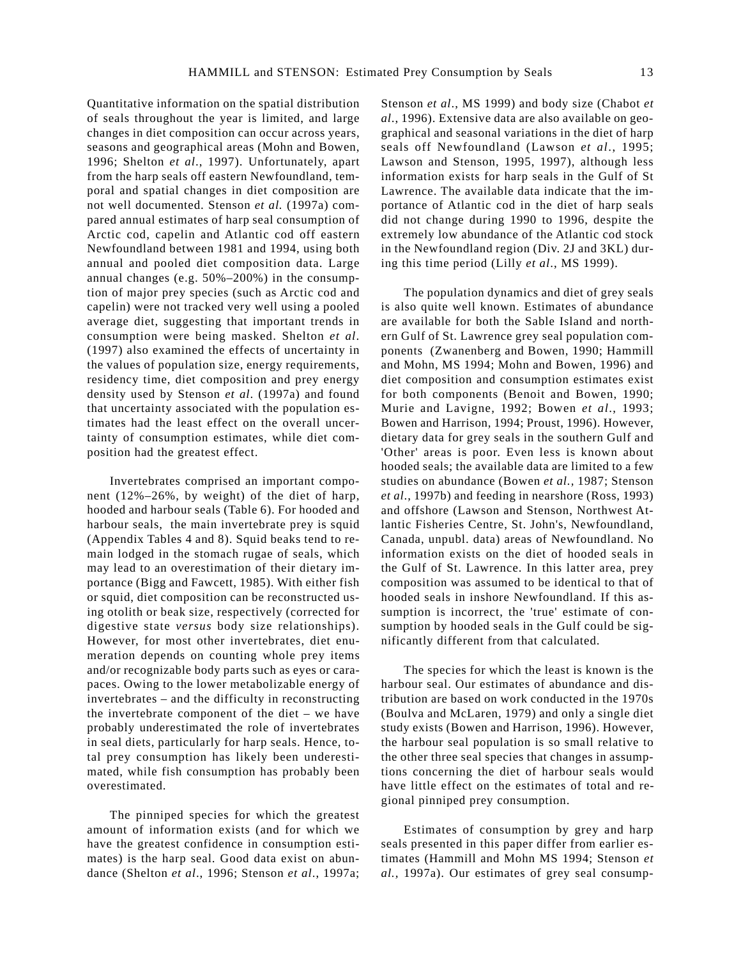Quantitative information on the spatial distribution of seals throughout the year is limited, and large changes in diet composition can occur across years, seasons and geographical areas (Mohn and Bowen, 1996; Shelton *et al*., 1997). Unfortunately, apart from the harp seals off eastern Newfoundland, temporal and spatial changes in diet composition are not well documented. Stenson *et al.* (1997a) compared annual estimates of harp seal consumption of Arctic cod, capelin and Atlantic cod off eastern Newfoundland between 1981 and 1994, using both annual and pooled diet composition data. Large annual changes (e.g. 50%–200%) in the consumption of major prey species (such as Arctic cod and capelin) were not tracked very well using a pooled average diet, suggesting that important trends in consumption were being masked. Shelton *et al*. (1997) also examined the effects of uncertainty in the values of population size, energy requirements, residency time, diet composition and prey energy density used by Stenson *et al*. (1997a) and found that uncertainty associated with the population estimates had the least effect on the overall uncertainty of consumption estimates, while diet composition had the greatest effect.

Invertebrates comprised an important component (12%–26%, by weight) of the diet of harp, hooded and harbour seals (Table 6). For hooded and harbour seals, the main invertebrate prey is squid (Appendix Tables 4 and 8). Squid beaks tend to remain lodged in the stomach rugae of seals, which may lead to an overestimation of their dietary importance (Bigg and Fawcett, 1985). With either fish or squid, diet composition can be reconstructed using otolith or beak size, respectively (corrected for digestive state *versus* body size relationships). However, for most other invertebrates, diet enumeration depends on counting whole prey items and/or recognizable body parts such as eyes or carapaces. Owing to the lower metabolizable energy of invertebrates – and the difficulty in reconstructing the invertebrate component of the diet – we have probably underestimated the role of invertebrates in seal diets, particularly for harp seals. Hence, total prey consumption has likely been underestimated, while fish consumption has probably been overestimated.

The pinniped species for which the greatest amount of information exists (and for which we have the greatest confidence in consumption estimates) is the harp seal. Good data exist on abundance (Shelton *et al*., 1996; Stenson *et al*., 1997a; Stenson *et al*., MS 1999) and body size (Chabot *et al*., 1996). Extensive data are also available on geographical and seasonal variations in the diet of harp seals off Newfoundland (Lawson *et al*., 1995; Lawson and Stenson, 1995, 1997), although less information exists for harp seals in the Gulf of St Lawrence. The available data indicate that the importance of Atlantic cod in the diet of harp seals did not change during 1990 to 1996, despite the extremely low abundance of the Atlantic cod stock in the Newfoundland region (Div. 2J and 3KL) during this time period (Lilly *et al*., MS 1999).

The population dynamics and diet of grey seals is also quite well known. Estimates of abundance are available for both the Sable Island and northern Gulf of St. Lawrence grey seal population components (Zwanenberg and Bowen, 1990; Hammill and Mohn, MS 1994; Mohn and Bowen, 1996) and diet composition and consumption estimates exist for both components (Benoit and Bowen, 1990; Murie and Lavigne, 1992; Bowen *et al*., 1993; Bowen and Harrison, 1994; Proust, 1996). However, dietary data for grey seals in the southern Gulf and 'Other' areas is poor. Even less is known about hooded seals; the available data are limited to a few studies on abundance (Bowen *et al.,* 1987; Stenson *et al*., 1997b) and feeding in nearshore (Ross, 1993) and offshore (Lawson and Stenson, Northwest Atlantic Fisheries Centre, St. John's, Newfoundland, Canada, unpubl. data) areas of Newfoundland. No information exists on the diet of hooded seals in the Gulf of St. Lawrence. In this latter area, prey composition was assumed to be identical to that of hooded seals in inshore Newfoundland. If this assumption is incorrect, the 'true' estimate of consumption by hooded seals in the Gulf could be significantly different from that calculated.

The species for which the least is known is the harbour seal. Our estimates of abundance and distribution are based on work conducted in the 1970s (Boulva and McLaren, 1979) and only a single diet study exists (Bowen and Harrison, 1996). However, the harbour seal population is so small relative to the other three seal species that changes in assumptions concerning the diet of harbour seals would have little effect on the estimates of total and regional pinniped prey consumption.

Estimates of consumption by grey and harp seals presented in this paper differ from earlier estimates (Hammill and Mohn MS 1994; Stenson *et al.,* 1997a). Our estimates of grey seal consump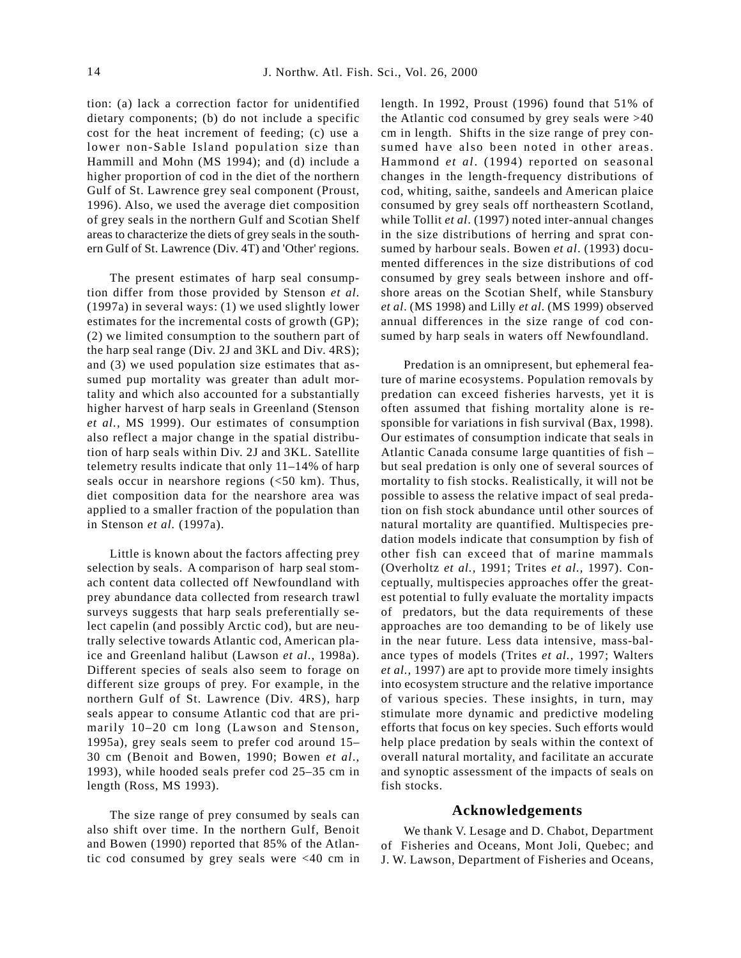tion: (a) lack a correction factor for unidentified dietary components; (b) do not include a specific cost for the heat increment of feeding; (c) use a lower non-Sable Island population size than Hammill and Mohn (MS 1994); and (d) include a higher proportion of cod in the diet of the northern Gulf of St. Lawrence grey seal component (Proust, 1996). Also, we used the average diet composition of grey seals in the northern Gulf and Scotian Shelf areas to characterize the diets of grey seals in the southern Gulf of St. Lawrence (Div. 4T) and 'Other' regions.

The present estimates of harp seal consumption differ from those provided by Stenson *et al*. (1997a) in several ways: (1) we used slightly lower estimates for the incremental costs of growth (GP); (2) we limited consumption to the southern part of the harp seal range (Div. 2J and 3KL and Div. 4RS); and (3) we used population size estimates that assumed pup mortality was greater than adult mortality and which also accounted for a substantially higher harvest of harp seals in Greenland (Stenson *et al.,* MS 1999). Our estimates of consumption also reflect a major change in the spatial distribution of harp seals within Div. 2J and 3KL. Satellite telemetry results indicate that only 11–14% of harp seals occur in nearshore regions  $\left( < 50 \text{ km} \right)$ . Thus, diet composition data for the nearshore area was applied to a smaller fraction of the population than in Stenson *et al.* (1997a).

Little is known about the factors affecting prey selection by seals. A comparison of harp seal stomach content data collected off Newfoundland with prey abundance data collected from research trawl surveys suggests that harp seals preferentially select capelin (and possibly Arctic cod), but are neutrally selective towards Atlantic cod, American plaice and Greenland halibut (Lawson *et al*., 1998a). Different species of seals also seem to forage on different size groups of prey. For example, in the northern Gulf of St. Lawrence (Div. 4RS), harp seals appear to consume Atlantic cod that are primarily 10–20 cm long (Lawson and Stenson, 1995a), grey seals seem to prefer cod around 15– 30 cm (Benoit and Bowen, 1990; Bowen *et al*., 1993), while hooded seals prefer cod 25–35 cm in length (Ross, MS 1993).

The size range of prey consumed by seals can also shift over time. In the northern Gulf, Benoit and Bowen (1990) reported that 85% of the Atlantic cod consumed by grey seals were <40 cm in length. In 1992, Proust (1996) found that 51% of the Atlantic cod consumed by grey seals were >40 cm in length. Shifts in the size range of prey consumed have also been noted in other areas. Hammond *et al*. (1994) reported on seasonal changes in the length-frequency distributions of cod, whiting, saithe, sandeels and American plaice consumed by grey seals off northeastern Scotland, while Tollit *et al*. (1997) noted inter-annual changes in the size distributions of herring and sprat consumed by harbour seals. Bowen *et al*. (1993) documented differences in the size distributions of cod consumed by grey seals between inshore and offshore areas on the Scotian Shelf, while Stansbury *et al*. (MS 1998) and Lilly *et al*. (MS 1999) observed annual differences in the size range of cod consumed by harp seals in waters off Newfoundland.

Predation is an omnipresent, but ephemeral feature of marine ecosystems. Population removals by predation can exceed fisheries harvests, yet it is often assumed that fishing mortality alone is responsible for variations in fish survival (Bax, 1998). Our estimates of consumption indicate that seals in Atlantic Canada consume large quantities of fish – but seal predation is only one of several sources of mortality to fish stocks. Realistically, it will not be possible to assess the relative impact of seal predation on fish stock abundance until other sources of natural mortality are quantified. Multispecies predation models indicate that consumption by fish of other fish can exceed that of marine mammals (Overholtz *et al.,* 1991; Trites *et al.,* 1997). Conceptually, multispecies approaches offer the greatest potential to fully evaluate the mortality impacts of predators, but the data requirements of these approaches are too demanding to be of likely use in the near future. Less data intensive, mass-balance types of models (Trites *et al.,* 1997; Walters *et al.,* 1997) are apt to provide more timely insights into ecosystem structure and the relative importance of various species. These insights, in turn, may stimulate more dynamic and predictive modeling efforts that focus on key species. Such efforts would help place predation by seals within the context of overall natural mortality, and facilitate an accurate and synoptic assessment of the impacts of seals on fish stocks.

#### **Acknowledgements**

We thank V. Lesage and D. Chabot, Department of Fisheries and Oceans, Mont Joli, Quebec; and J. W. Lawson, Department of Fisheries and Oceans,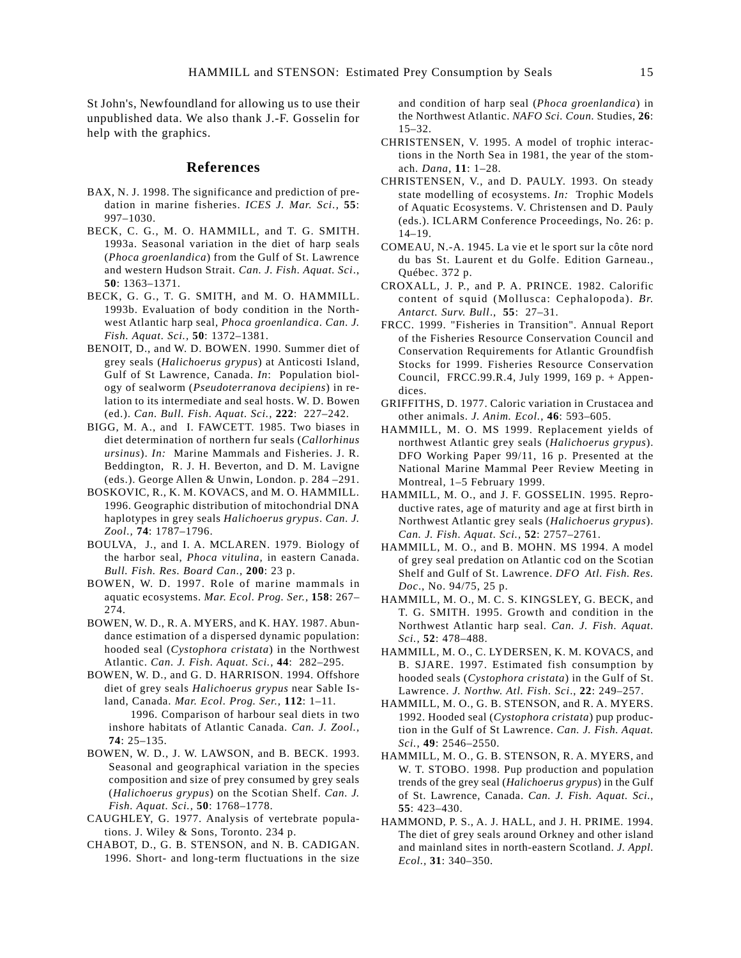St John's, Newfoundland for allowing us to use their unpublished data. We also thank J.-F. Gosselin for help with the graphics.

#### **References**

- BAX, N. J. 1998. The significance and prediction of predation in marine fisheries. *ICES J. Mar. Sci.,* **55**: 997–1030.
- BECK, C. G., M. O. HAMMILL, and T. G. SMITH. 1993a. Seasonal variation in the diet of harp seals (*Phoca groenlandica*) from the Gulf of St. Lawrence and western Hudson Strait. *Can. J. Fish. Aquat. Sci*., **50**: 1363–1371.
- BECK, G. G., T. G. SMITH, and M. O. HAMMILL. 1993b. Evaluation of body condition in the Northwest Atlantic harp seal, *Phoca groenlandica*. *Can. J. Fish. Aquat. Sci.,* **50**: 1372–1381.
- BENOIT, D., and W. D. BOWEN. 1990. Summer diet of grey seals (*Halichoerus grypus*) at Anticosti Island, Gulf of St Lawrence, Canada. *In*: Population biology of sealworm (*Pseudoterranova decipiens*) in relation to its intermediate and seal hosts. W. D. Bowen (ed.). *Can. Bull. Fish. Aquat. Sci.,* **222**: 227–242.
- BIGG, M. A., and I. FAWCETT. 1985. Two biases in diet determination of northern fur seals (*Callorhinus ursinus*). *In:* Marine Mammals and Fisheries. J. R. Beddington, R. J. H. Beverton, and D. M. Lavigne (eds.). George Allen & Unwin, London. p. 284 –291.
- BOSKOVIC, R., K. M. KOVACS, and M. O. HAMMILL. 1996. Geographic distribution of mitochondrial DNA haplotypes in grey seals *Halichoerus grypus*. *Can. J. Zool.,* **74**: 1787–1796.
- BOULVA, J., and I. A. MCLAREN. 1979. Biology of the harbor seal, *Phoca vitulina,* in eastern Canada. *Bull. Fish. Res. Board Can.,* **200**: 23 p.
- BOWEN, W. D. 1997. Role of marine mammals in aquatic ecosystems. *Mar. Ecol. Prog. Ser.,* **158**: 267– 274.
- BOWEN, W. D., R. A. MYERS, and K. HAY. 1987. Abundance estimation of a dispersed dynamic population: hooded seal (*Cystophora cristata*) in the Northwest Atlantic. *Can. J. Fish. Aquat. Sci.,* **44**: 282–295.
- BOWEN, W. D., and G. D. HARRISON. 1994. Offshore diet of grey seals *Halichoerus grypus* near Sable Island, Canada. *Mar. Ecol. Prog. Ser.,* **112**: 1–11.

1996. Comparison of harbour seal diets in two inshore habitats of Atlantic Canada. *Can. J. Zool.,* **74**: 25–135.

- BOWEN, W. D., J. W. LAWSON, and B. BECK. 1993. Seasonal and geographical variation in the species composition and size of prey consumed by grey seals (*Halichoerus grypus*) on the Scotian Shelf. *Can. J. Fish. Aquat. Sci.,* **50**: 1768–1778.
- CAUGHLEY, G. 1977. Analysis of vertebrate populations. J. Wiley & Sons, Toronto. 234 p.
- CHABOT, D., G. B. STENSON, and N. B. CADIGAN. 1996. Short- and long-term fluctuations in the size

and condition of harp seal (*Phoca groenlandica*) in the Northwest Atlantic. *NAFO Sci. Coun.* Studies, **26**: 15–32.

- CHRISTENSEN, V. 1995. A model of trophic interactions in the North Sea in 1981, the year of the stomach. *Dana*, **11**: 1–28.
- CHRISTENSEN, V., and D. PAULY. 1993. On steady state modelling of ecosystems. *In:* Trophic Models of Aquatic Ecosystems. V. Christensen and D. Pauly (eds.). ICLARM Conference Proceedings, No. 26: p. 14–19.
- COMEAU, N.-A. 1945. La vie et le sport sur la côte nord du bas St. Laurent et du Golfe. Edition Garneau., Québec. 372 p.
- CROXALL, J. P., and P. A. PRINCE. 1982. Calorific content of squid (Mollusca: Cephalopoda). *Br. Antarct. Surv. Bull*., **55**: 27–31.
- FRCC. 1999. "Fisheries in Transition". Annual Report of the Fisheries Resource Conservation Council and Conservation Requirements for Atlantic Groundfish Stocks for 1999. Fisheries Resource Conservation Council, FRCC.99.R.4, July 1999, 169 p. + Appendices.
- GRIFFITHS, D. 1977. Caloric variation in Crustacea and other animals. *J. Anim. Ecol.*, **46**: 593–605.
- HAMMILL, M. O. MS 1999. Replacement yields of northwest Atlantic grey seals (*Halichoerus grypus*). DFO Working Paper 99/11, 16 p. Presented at the National Marine Mammal Peer Review Meeting in Montreal, 1–5 February 1999.
- HAMMILL, M. O., and J. F. GOSSELIN. 1995. Reproductive rates, age of maturity and age at first birth in Northwest Atlantic grey seals (*Halichoerus grypus*). *Can. J. Fish. Aquat. Sci.,* **52**: 2757–2761.
- HAMMILL, M. O., and B. MOHN. MS 1994. A model of grey seal predation on Atlantic cod on the Scotian Shelf and Gulf of St. Lawrence. *DFO Atl. Fish. Res. Doc*., No. 94/75, 25 p.
- HAMMILL, M. O., M. C. S. KINGSLEY, G. BECK, and T. G. SMITH. 1995. Growth and condition in the Northwest Atlantic harp seal. *Can. J. Fish. Aquat. Sci.,* **52**: 478–488.
- HAMMILL, M. O., C. LYDERSEN, K. M. KOVACS, and B. SJARE. 1997. Estimated fish consumption by hooded seals (*Cystophora cristata*) in the Gulf of St. Lawrence. *J. Northw. Atl. Fish. Sci*., **22**: 249–257.
- HAMMILL, M. O., G. B. STENSON, and R. A. MYERS. 1992. Hooded seal (*Cystophora cristata*) pup production in the Gulf of St Lawrence. *Can. J. Fish. Aquat. Sci.*, **49**: 2546–2550.
- HAMMILL, M. O., G. B. STENSON, R. A. MYERS, and W. T. STOBO. 1998. Pup production and population trends of the grey seal (*Halichoerus grypus*) in the Gulf of St. Lawrence, Canada. *Can. J. Fish. Aquat. Sci.*, **55**: 423–430.
- HAMMOND, P. S., A. J. HALL, and J. H. PRIME. 1994. The diet of grey seals around Orkney and other island and mainland sites in north-eastern Scotland. *J. Appl. Ecol.,* **31**: 340–350.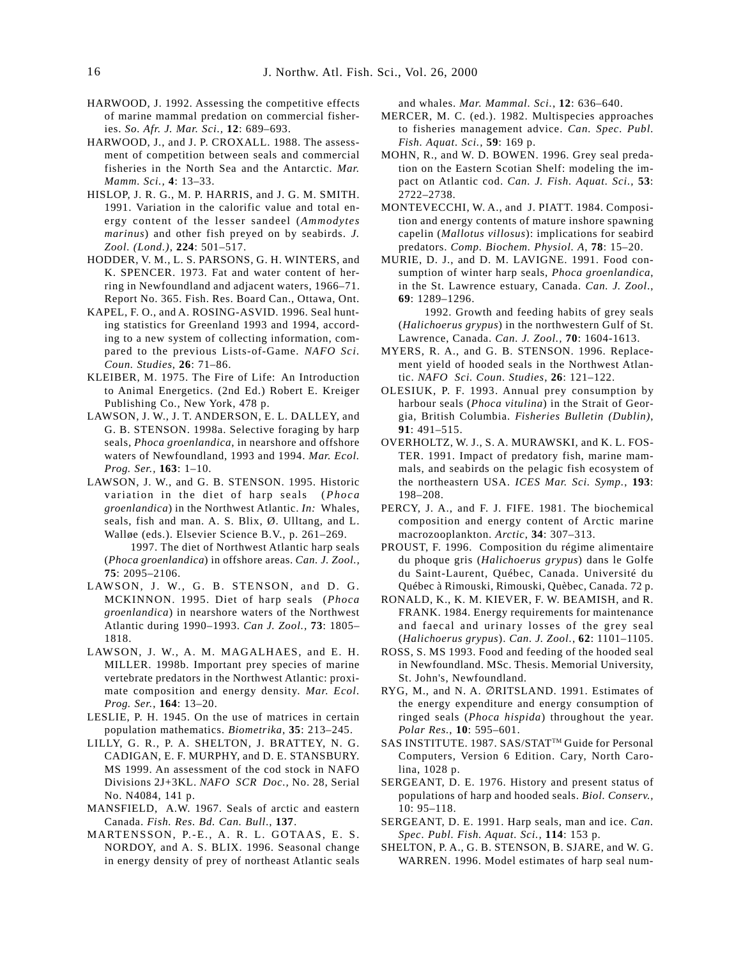- HARWOOD, J. 1992. Assessing the competitive effects of marine mammal predation on commercial fisheries. *So. Afr. J. Mar. Sci.,* **12**: 689–693.
- HARWOOD, J., and J. P. CROXALL. 1988. The assessment of competition between seals and commercial fisheries in the North Sea and the Antarctic. *Mar. Mamm. Sci.,* **4**: 13–33.
- HISLOP, J. R. G., M. P. HARRIS, and J. G. M. SMITH. 1991. Variation in the calorific value and total energy content of the lesser sandeel (*Ammodytes marinus*) and other fish preyed on by seabirds. *J. Zool. (Lond.)*, **224**: 501–517.
- HODDER, V. M., L. S. PARSONS, G. H. WINTERS, and K. SPENCER. 1973. Fat and water content of herring in Newfoundland and adjacent waters, 1966–71. Report No. 365. Fish. Res. Board Can., Ottawa, Ont.
- KAPEL, F. O., and A. ROSING-ASVID. 1996. Seal hunting statistics for Greenland 1993 and 1994, according to a new system of collecting information, compared to the previous Lists-of-Game. *NAFO Sci. Coun. Studies*, **26**: 71–86.
- KLEIBER, M. 1975. The Fire of Life: An Introduction to Animal Energetics. (2nd Ed.) Robert E. Kreiger Publishing Co., New York, 478 p.
- LAWSON, J. W., J. T. ANDERSON, E. L. DALLEY, and G. B. STENSON. 1998a. Selective foraging by harp seals, *Phoca groenlandica*, in nearshore and offshore waters of Newfoundland, 1993 and 1994. *Mar. Ecol. Prog. Ser.,* **163**: 1–10.
- LAWSON, J. W., and G. B. STENSON. 1995. Historic variation in the diet of harp seals (*Phoca groenlandica*) in the Northwest Atlantic. *In:* Whales, seals, fish and man. A. S. Blix, Ø. Ulltang, and L. Walløe (eds.). Elsevier Science B.V., p. 261–269.

1997. The diet of Northwest Atlantic harp seals (*Phoca groenlandica*) in offshore areas. *Can. J. Zool.,* **75**: 2095–2106.

- LAWSON, J. W., G. B. STENSON, and D. G. MCKINNON. 1995. Diet of harp seals (*Phoca groenlandica*) in nearshore waters of the Northwest Atlantic during 1990–1993. *Can J. Zool.,* **73**: 1805– 1818.
- LAWSON, J. W., A. M. MAGALHAES, and E. H. MILLER. 1998b. Important prey species of marine vertebrate predators in the Northwest Atlantic: proximate composition and energy density. *Mar. Ecol. Prog. Ser.*, **164**: 13–20.
- LESLIE, P. H. 1945. On the use of matrices in certain population mathematics. *Biometrika*, **35**: 213–245.
- LILLY, G. R., P. A. SHELTON, J. BRATTEY, N. G. CADIGAN, E. F. MURPHY, and D. E. STANSBURY. MS 1999. An assessment of the cod stock in NAFO Divisions 2J+3KL. *NAFO SCR Doc.,* No. 28, Serial No. N4084, 141 p.
- MANSFIELD, A.W. 1967. Seals of arctic and eastern Canada. *Fish. Res. Bd. Can. Bull*., **137**.
- MARTENSSON, P.-E., A. R. L. GOTAAS, E. S. NORDOY, and A. S. BLIX. 1996. Seasonal change in energy density of prey of northeast Atlantic seals

and whales. *Mar. Mammal. Sci.*, **12**: 636–640.

- MERCER, M. C. (ed.). 1982. Multispecies approaches to fisheries management advice. *Can. Spec. Publ. Fish. Aquat. Sci.,* **59**: 169 p.
- MOHN, R., and W. D. BOWEN. 1996. Grey seal predation on the Eastern Scotian Shelf: modeling the impact on Atlantic cod. *Can. J. Fish. Aquat. Sci.,* **53**: 2722–2738.
- MONTEVECCHI, W. A., and J. PIATT. 1984. Composition and energy contents of mature inshore spawning capelin (*Mallotus villosus*): implications for seabird predators. *Comp. Biochem. Physiol. A*, **78**: 15–20.
- MURIE, D. J., and D. M. LAVIGNE. 1991. Food consumption of winter harp seals, *Phoca groenlandica*, in the St. Lawrence estuary, Canada. *Can. J. Zool*., **69**: 1289–1296.

1992. Growth and feeding habits of grey seals (*Halichoerus grypus*) in the northwestern Gulf of St. Lawrence, Canada. *Can. J. Zool.,* **70**: 1604-1613.

- MYERS, R. A., and G. B. STENSON. 1996. Replacement yield of hooded seals in the Northwest Atlantic. *NAFO Sci. Coun. Studies*, **26**: 121–122.
- OLESIUK, P. F. 1993. Annual prey consumption by harbour seals (*Phoca vitulina*) in the Strait of Georgia, British Columbia. *Fisheries Bulletin (Dublin)*, **91**: 491–515.
- OVERHOLTZ, W. J., S. A. MURAWSKI, and K. L. FOS-TER. 1991. Impact of predatory fish, marine mammals, and seabirds on the pelagic fish ecosystem of the northeastern USA. *ICES Mar. Sci. Symp.*, **193**: 198–208.
- PERCY, J. A., and F. J. FIFE. 1981. The biochemical composition and energy content of Arctic marine macrozooplankton. *Arctic*, **34**: 307–313.
- PROUST, F. 1996. Composition du régime alimentaire du phoque gris (*Halichoerus grypus*) dans le Golfe du Saint-Laurent, Québec, Canada. Université du Québec à Rimouski, Rimouski, Quèbec, Canada. 72 p.
- RONALD, K., K. M. KIEVER, F. W. BEAMISH, and R. FRANK. 1984. Energy requirements for maintenance and faecal and urinary losses of the grey seal (*Halichoerus grypus*). *Can. J. Zool.*, **62**: 1101–1105.
- ROSS, S. MS 1993. Food and feeding of the hooded seal in Newfoundland. MSc. Thesis. Memorial University, St. John's, Newfoundland.
- RYG, M., and N. A. ∅RITSLAND. 1991. Estimates of the energy expenditure and energy consumption of ringed seals (*Phoca hispida*) throughout the year. *Polar Res.*, **10**: 595–601.
- SAS INSTITUTE. 1987. SAS/STAT™ Guide for Personal Computers, Version 6 Edition. Cary, North Carolina, 1028 p.
- SERGEANT, D. E. 1976. History and present status of populations of harp and hooded seals. *Biol. Conserv.,* 10: 95–118.
- SERGEANT, D. E. 1991. Harp seals, man and ice. *Can. Spec. Publ. Fish. Aquat. Sci.,* **114**: 153 p.
- SHELTON, P. A., G. B. STENSON, B. SJARE, and W. G. WARREN. 1996. Model estimates of harp seal num-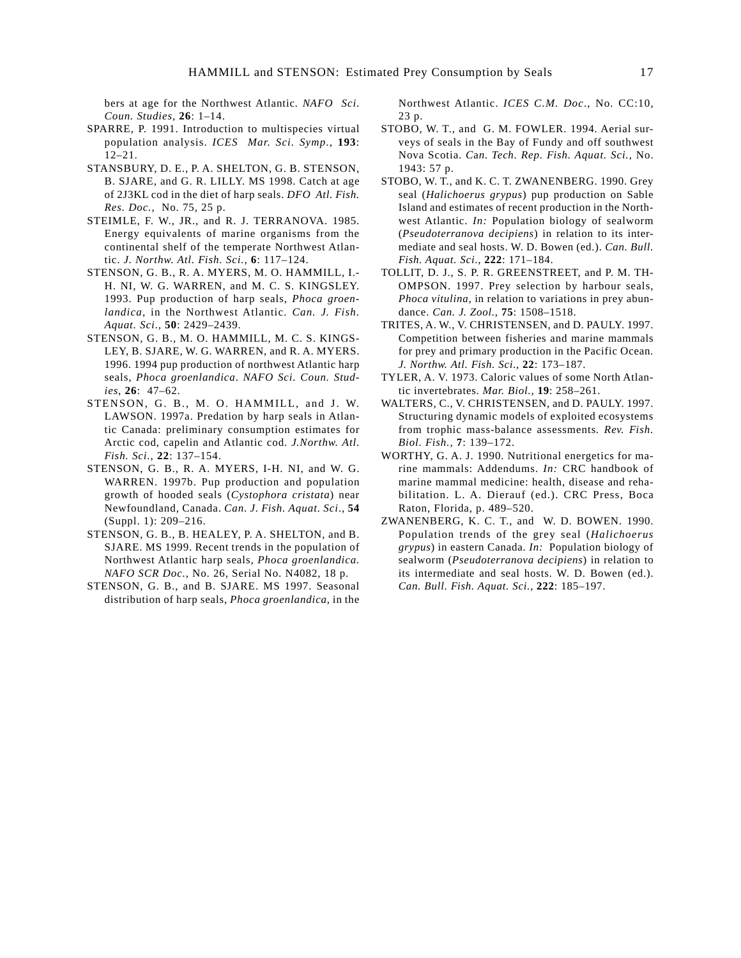bers at age for the Northwest Atlantic*. NAFO Sci. Coun. Studies,* **26**: 1–14.

- SPARRE, P. 1991. Introduction to multispecies virtual population analysis. *ICES Mar. Sci. Symp*., **193**: 12–21.
- STANSBURY, D. E., P. A. SHELTON, G. B. STENSON, B. SJARE, and G. R. LILLY. MS 1998. Catch at age of 2J3KL cod in the diet of harp seals. *DFO Atl. Fish. Res. Doc.,* No. 75, 25 p.
- STEIMLE, F. W., JR., and R. J. TERRANOVA. 1985. Energy equivalents of marine organisms from the continental shelf of the temperate Northwest Atlantic. *J. Northw. Atl. Fish. Sci.*, **6**: 117–124.
- STENSON, G. B., R. A. MYERS, M. O. HAMMILL, I.- H. NI, W. G. WARREN, and M. C. S. KINGSLEY. 1993. Pup production of harp seals, *Phoca groenlandica*, in the Northwest Atlantic. *Can. J. Fish. Aquat. Sci*., **50**: 2429–2439.
- STENSON, G. B., M. O. HAMMILL, M. C. S. KINGS-LEY, B. SJARE, W. G. WARREN, and R. A. MYERS. 1996. 1994 pup production of northwest Atlantic harp seals, *Phoca groenlandica*. *NAFO Sci. Coun. Studies*, **26**: 47–62.
- STENSON, G. B., M. O. HAMMILL, and J. W. LAWSON. 1997a. Predation by harp seals in Atlantic Canada: preliminary consumption estimates for Arctic cod, capelin and Atlantic cod. *J.Northw. Atl. Fish. Sci.*, **22**: 137–154.
- STENSON, G. B., R. A. MYERS, I-H. NI, and W. G. WARREN. 1997b. Pup production and population growth of hooded seals (*Cystophora cristata*) near Newfoundland, Canada. *Can. J. Fish. Aquat. Sci*., **54** (Suppl. 1): 209–216.
- STENSON, G. B., B. HEALEY, P. A. SHELTON, and B. SJARE. MS 1999. Recent trends in the population of Northwest Atlantic harp seals, *Phoca groenlandica. NAFO SCR Doc.,* No. 26, Serial No. N4082, 18 p.
- STENSON, G. B., and B. SJARE. MS 1997. Seasonal distribution of harp seals, *Phoca groenlandica*, in the

Northwest Atlantic. *ICES C.M. Doc*., No. CC:10, 23 p.

- STOBO, W. T., and G. M. FOWLER. 1994. Aerial surveys of seals in the Bay of Fundy and off southwest Nova Scotia. *C*a*n. Tech. Rep. Fish. Aquat. Sci.,* No. 1943: 57 p.
- STOBO, W. T., and K. C. T. ZWANENBERG. 1990. Grey seal (*Halichoerus grypus*) pup production on Sable Island and estimates of recent production in the Northwest Atlantic. *In:* Population biology of sealworm (*Pseudoterranova decipiens*) in relation to its intermediate and seal hosts. W. D. Bowen (ed.). *Can. Bull. Fish. Aquat. Sci*., **222**: 171–184.
- TOLLIT, D. J., S. P. R. GREENSTREET, and P. M. TH-OMPSON. 1997. Prey selection by harbour seals, *Phoca vitulina*, in relation to variations in prey abundance. *Can. J. Zool.*, **75**: 1508–1518.
- TRITES, A. W., V. CHRISTENSEN, and D. PAULY. 1997. Competition between fisheries and marine mammals for prey and primary production in the Pacific Ocean*. J. Northw. Atl. Fish. Sci.*, **22**: 173–187.
- TYLER, A. V. 1973. Caloric values of some North Atlantic invertebrates. *Mar. Biol.*, **19**: 258–261.
- WALTERS, C., V. CHRISTENSEN, and D. PAULY. 1997. Structuring dynamic models of exploited ecosystems from trophic mass-balance assessments*. Rev. Fish. Biol. Fish.,* **7**: 139–172.
- WORTHY, G. A. J. 1990. Nutritional energetics for marine mammals: Addendums. *In:* CRC handbook of marine mammal medicine: health, disease and rehabilitation. L. A. Dierauf (ed.). CRC Press, Boca Raton, Florida, p. 489–520.
- ZWANENBERG, K. C. T., and W. D. BOWEN. 1990. Population trends of the grey seal (*Halichoerus grypus*) in eastern Canada. *In:* Population biology of sealworm (*Pseudoterranova decipiens*) in relation to its intermediate and seal hosts. W. D. Bowen (ed.). *Can. Bull. Fish. Aquat. Sci.,* **222**: 185–197.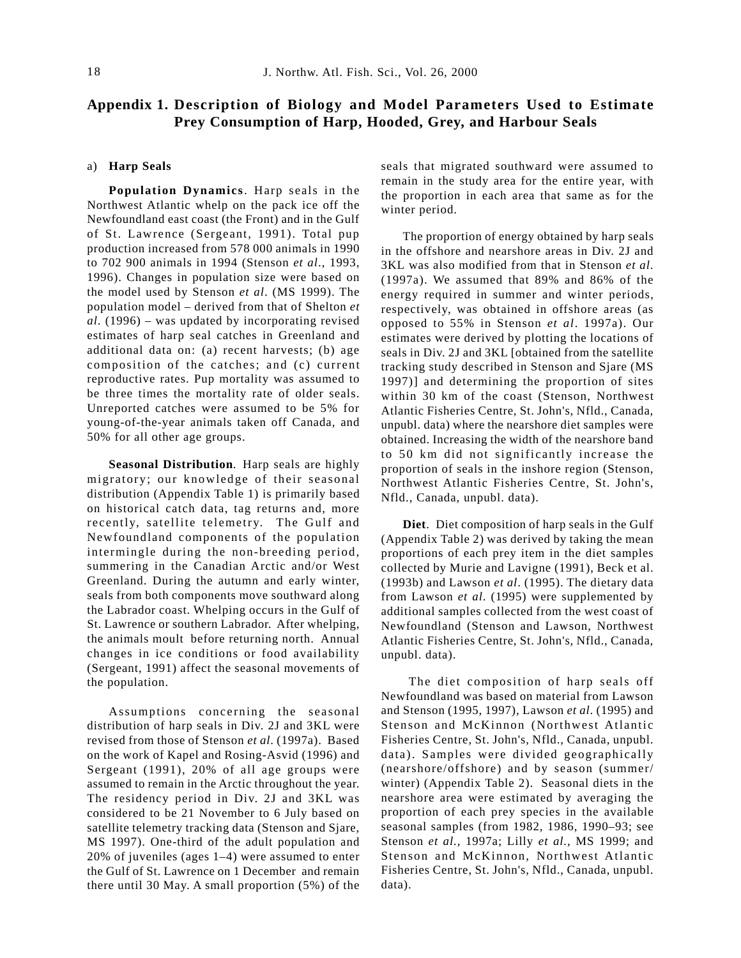# **Appendix 1. Description of Biology and Model Parameters Used to Estimate Prey Consumption of Harp, Hooded, Grey, and Harbour Seals**

# a) **Harp Seals**

**Population Dynamics**. Harp seals in the Northwest Atlantic whelp on the pack ice off the Newfoundland east coast (the Front) and in the Gulf of St. Lawrence (Sergeant, 1991). Total pup production increased from 578 000 animals in 1990 to 702 900 animals in 1994 (Stenson *et al*., 1993, 1996). Changes in population size were based on the model used by Stenson *et al*. (MS 1999). The population model – derived from that of Shelton *et al*. (1996) – was updated by incorporating revised estimates of harp seal catches in Greenland and additional data on: (a) recent harvests; (b) age composition of the catches; and (c) current reproductive rates. Pup mortality was assumed to be three times the mortality rate of older seals. Unreported catches were assumed to be 5% for young-of-the-year animals taken off Canada, and 50% for all other age groups.

**Seasonal Distribution**. Harp seals are highly migratory; our knowledge of their seasonal distribution (Appendix Table 1) is primarily based on historical catch data, tag returns and, more recently, satellite telemetry. The Gulf and Newfoundland components of the population intermingle during the non-breeding period, summering in the Canadian Arctic and/or West Greenland. During the autumn and early winter, seals from both components move southward along the Labrador coast. Whelping occurs in the Gulf of St. Lawrence or southern Labrador. After whelping, the animals moult before returning north. Annual changes in ice conditions or food availability (Sergeant, 1991) affect the seasonal movements of the population.

Assumptions concerning the seasonal distribution of harp seals in Div. 2J and 3KL were revised from those of Stenson *et al*. (1997a). Based on the work of Kapel and Rosing-Asvid (1996) and Sergeant (1991), 20% of all age groups were assumed to remain in the Arctic throughout the year. The residency period in Div. 2J and 3KL was considered to be 21 November to 6 July based on satellite telemetry tracking data (Stenson and Sjare, MS 1997). One-third of the adult population and 20% of juveniles (ages 1–4) were assumed to enter the Gulf of St. Lawrence on 1 December and remain there until 30 May. A small proportion (5%) of the

seals that migrated southward were assumed to remain in the study area for the entire year, with the proportion in each area that same as for the winter period.

The proportion of energy obtained by harp seals in the offshore and nearshore areas in Div. 2J and 3KL was also modified from that in Stenson *et al*. (1997a). We assumed that 89% and 86% of the energy required in summer and winter periods, respectively, was obtained in offshore areas (as opposed to 55% in Stenson *et al*. 1997a). Our estimates were derived by plotting the locations of seals in Div. 2J and 3KL [obtained from the satellite tracking study described in Stenson and Sjare (MS 1997)] and determining the proportion of sites within 30 km of the coast (Stenson, Northwest Atlantic Fisheries Centre, St. John's, Nfld., Canada, unpubl. data) where the nearshore diet samples were obtained. Increasing the width of the nearshore band to 50 km did not significantly increase the proportion of seals in the inshore region (Stenson, Northwest Atlantic Fisheries Centre, St. John's, Nfld., Canada, unpubl. data).

**Diet**. Diet composition of harp seals in the Gulf (Appendix Table 2) was derived by taking the mean proportions of each prey item in the diet samples collected by Murie and Lavigne (1991), Beck et al. (1993b) and Lawson *et al*. (1995). The dietary data from Lawson *et al*. (1995) were supplemented by additional samples collected from the west coast of Newfoundland (Stenson and Lawson, Northwest Atlantic Fisheries Centre, St. John's, Nfld., Canada, unpubl. data).

 The diet composition of harp seals off Newfoundland was based on material from Lawson and Stenson (1995, 1997), Lawson *et al*. (1995) and Stenson and McKinnon (Northwest Atlantic Fisheries Centre, St. John's, Nfld., Canada, unpubl. data). Samples were divided geographically (nearshore/offshore) and by season (summer/ winter) (Appendix Table 2). Seasonal diets in the nearshore area were estimated by averaging the proportion of each prey species in the available seasonal samples (from 1982, 1986, 1990–93; see Stenson *et al.,* 1997a; Lilly *et al.,* MS 1999; and Stenson and McKinnon, Northwest Atlantic Fisheries Centre, St. John's, Nfld., Canada, unpubl. data).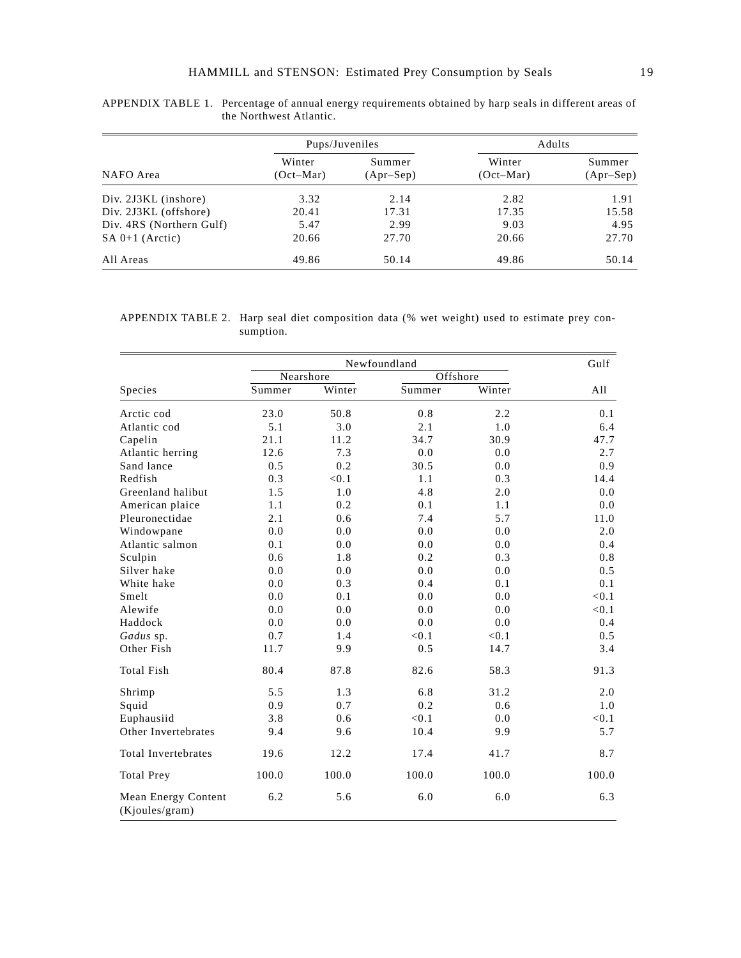|                          | Pups/Juveniles        |                       | Adults                |                       |  |
|--------------------------|-----------------------|-----------------------|-----------------------|-----------------------|--|
| NAFO Area                | Winter<br>$(Oct-Mar)$ | Summer<br>$(Apr-Sep)$ | Winter<br>$(Oct-Mar)$ | Summer<br>$(Apr-Sep)$ |  |
| Div. 2J3KL (inshore)     | 3.32                  | 2.14                  | 2.82                  | 1.91                  |  |
| Div. 2J3KL (offshore)    | 20.41                 | 17.31                 | 17.35                 | 15.58                 |  |
| Div. 4RS (Northern Gulf) | 5.47                  | 2.99                  | 9.03                  | 4.95                  |  |
| $SA 0+1$ (Arctic)        | 20.66                 | 27.70                 | 20.66                 | 27.70                 |  |
| All Areas                | 49.86                 | 50.14                 | 49.86                 | 50.14                 |  |

APPENDIX TABLE 1. Percentage of annual energy requirements obtained by harp seals in different areas of the Northwest Atlantic.

APPENDIX TABLE 2. Harp seal diet composition data (% wet weight) used to estimate prey consumption.

|                                       |           | Newfoundland |        |          |       |  |  |  |
|---------------------------------------|-----------|--------------|--------|----------|-------|--|--|--|
|                                       | Nearshore |              |        | Offshore |       |  |  |  |
| Species                               | Summer    | Winter       | Summer | Winter   | All   |  |  |  |
| Arctic cod                            | 23.0      | 50.8         | 0.8    | 2.2      | 0.1   |  |  |  |
| Atlantic cod                          | 5.1       | 3.0          | 2.1    | 1.0      | 6.4   |  |  |  |
| Capelin                               | 21.1      | 11.2         | 34.7   | 30.9     | 47.7  |  |  |  |
| Atlantic herring                      | 12.6      | 7.3          | 0.0    | 0.0      | 2.7   |  |  |  |
| Sand lance                            | 0.5       | 0.2          | 30.5   | 0.0      | 0.9   |  |  |  |
| Redfish                               | 0.3       | < 0.1        | 1.1    | 0.3      | 14.4  |  |  |  |
| Greenland halibut                     | 1.5       | 1.0          | 4.8    | 2.0      | 0.0   |  |  |  |
| American plaice                       | 1.1       | 0.2          | 0.1    | 1.1      | 0.0   |  |  |  |
| Pleuronectidae                        | 2.1       | 0.6          | 7.4    | 5.7      | 11.0  |  |  |  |
| Windowpane                            | 0.0       | 0.0          | 0.0    | 0.0      | 2.0   |  |  |  |
| Atlantic salmon                       | 0.1       | 0.0          | 0.0    | 0.0      | 0.4   |  |  |  |
| Sculpin                               | 0.6       | 1.8          | 0.2    | 0.3      | 0.8   |  |  |  |
| Silver hake                           | 0.0       | 0.0          | 0.0    | 0.0      | 0.5   |  |  |  |
| White hake                            | 0.0       | 0.3          | 0.4    | 0.1      | 0.1   |  |  |  |
| Smelt                                 | 0.0       | 0.1          | 0.0    | 0.0      | < 0.1 |  |  |  |
| Alewife                               | 0.0       | 0.0          | 0.0    | 0.0      | < 0.1 |  |  |  |
| Haddock                               | 0.0       | 0.0          | 0.0    | 0.0      | 0.4   |  |  |  |
| Gadus sp.                             | 0.7       | 1.4          | < 0.1  | < 0.1    | 0.5   |  |  |  |
| Other Fish                            | 11.7      | 9.9          | 0.5    | 14.7     | 3.4   |  |  |  |
| <b>Total Fish</b>                     | 80.4      | 87.8         | 82.6   | 58.3     | 91.3  |  |  |  |
| Shrimp                                | 5.5       | 1.3          | 6.8    | 31.2     | 2.0   |  |  |  |
| Squid                                 | 0.9       | 0.7          | 0.2    | 0.6      | 1.0   |  |  |  |
| Euphausiid                            | 3.8       | 0.6          | < 0.1  | 0.0      | < 0.1 |  |  |  |
| Other Invertebrates                   | 9.4       | 9.6          | 10.4   | 9.9      | 5.7   |  |  |  |
| Total Invertebrates                   | 19.6      | 12.2         | 17.4   | 41.7     | 8.7   |  |  |  |
| <b>Total Prey</b>                     | 100.0     | 100.0        | 100.0  | 100.0    | 100.0 |  |  |  |
| Mean Energy Content<br>(Kjoules/gram) | 6.2       | 5.6          | 6.0    | 6.0      | 6.3   |  |  |  |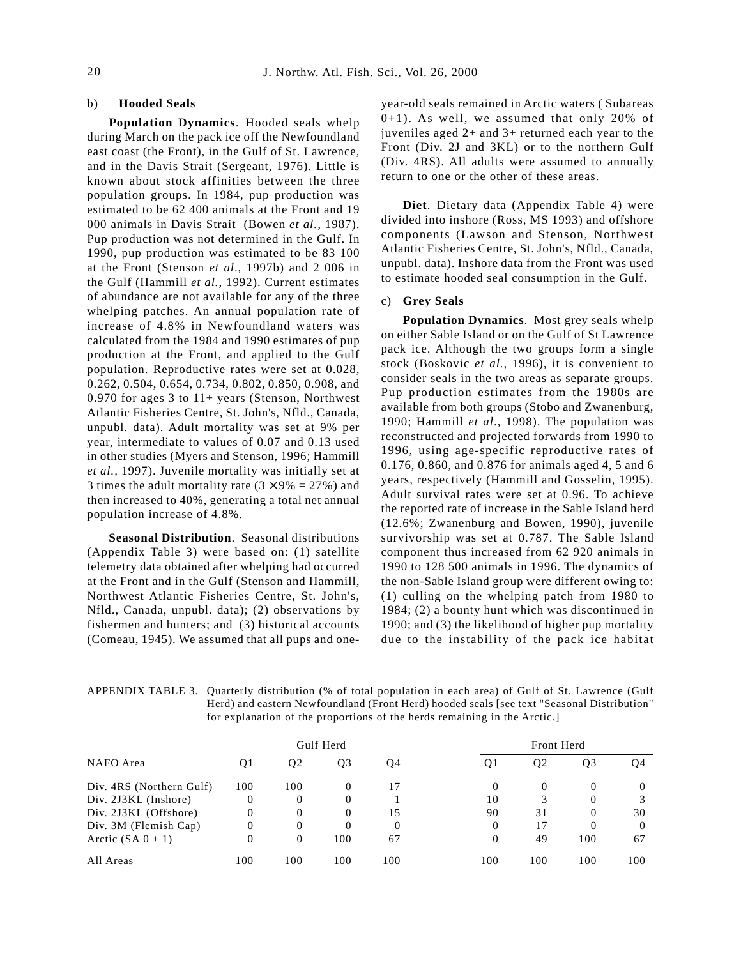#### b) **Hooded Seals**

**Population Dynamics**. Hooded seals whelp during March on the pack ice off the Newfoundland east coast (the Front), in the Gulf of St. Lawrence, and in the Davis Strait (Sergeant, 1976). Little is known about stock affinities between the three population groups. In 1984, pup production was estimated to be 62 400 animals at the Front and 19 000 animals in Davis Strait (Bowen *et al.,* 1987). Pup production was not determined in the Gulf. In 1990, pup production was estimated to be 83 100 at the Front (Stenson *et al*., 1997b) and 2 006 in the Gulf (Hammill *et al.*, 1992). Current estimates of abundance are not available for any of the three whelping patches. An annual population rate of increase of 4.8% in Newfoundland waters was calculated from the 1984 and 1990 estimates of pup production at the Front, and applied to the Gulf population. Reproductive rates were set at 0.028, 0.262, 0.504, 0.654, 0.734, 0.802, 0.850, 0.908, and 0.970 for ages 3 to 11+ years (Stenson, Northwest Atlantic Fisheries Centre, St. John's, Nfld., Canada, unpubl. data). Adult mortality was set at 9% per year, intermediate to values of 0.07 and 0.13 used in other studies (Myers and Stenson, 1996; Hammill *et al.,* 1997). Juvenile mortality was initially set at 3 times the adult mortality rate  $(3 \times 9\% = 27\%)$  and then increased to 40%, generating a total net annual population increase of 4.8%.

**Seasonal Distribution**. Seasonal distributions (Appendix Table 3) were based on: (1) satellite telemetry data obtained after whelping had occurred at the Front and in the Gulf (Stenson and Hammill, Northwest Atlantic Fisheries Centre, St. John's, Nfld., Canada, unpubl. data); (2) observations by fishermen and hunters; and (3) historical accounts (Comeau, 1945). We assumed that all pups and oneyear-old seals remained in Arctic waters ( Subareas 0+1). As well, we assumed that only 20% of juveniles aged 2+ and 3+ returned each year to the Front (Div. 2J and 3KL) or to the northern Gulf (Div. 4RS). All adults were assumed to annually return to one or the other of these areas.

**Diet**. Dietary data (Appendix Table 4) were divided into inshore (Ross, MS 1993) and offshore components (Lawson and Stenson, Northwest Atlantic Fisheries Centre, St. John's, Nfld., Canada, unpubl. data). Inshore data from the Front was used to estimate hooded seal consumption in the Gulf.

#### c) **Grey Seals**

**Population Dynamics**. Most grey seals whelp on either Sable Island or on the Gulf of St Lawrence pack ice. Although the two groups form a single stock (Boskovic *et al*., 1996), it is convenient to consider seals in the two areas as separate groups. Pup production estimates from the 1980s are available from both groups (Stobo and Zwanenburg, 1990; Hammill *et al*., 1998). The population was reconstructed and projected forwards from 1990 to 1996, using age-specific reproductive rates of 0.176, 0.860, and 0.876 for animals aged 4, 5 and 6 years, respectively (Hammill and Gosselin, 1995). Adult survival rates were set at 0.96. To achieve the reported rate of increase in the Sable Island herd (12.6%; Zwanenburg and Bowen, 1990), juvenile survivorship was set at 0.787. The Sable Island component thus increased from 62 920 animals in 1990 to 128 500 animals in 1996. The dynamics of the non-Sable Island group were different owing to: (1) culling on the whelping patch from 1980 to 1984; (2) a bounty hunt which was discontinued in 1990; and (3) the likelihood of higher pup mortality due to the instability of the pack ice habitat

APPENDIX TABLE 3. Quarterly distribution (% of total population in each area) of Gulf of St. Lawrence (Gulf Herd) and eastern Newfoundland (Front Herd) hooded seals [see text "Seasonal Distribution" for explanation of the proportions of the herds remaining in the Arctic.]

|                          | Gulf Herd |                |          |     |     | Front Herd     |                |          |  |
|--------------------------|-----------|----------------|----------|-----|-----|----------------|----------------|----------|--|
| NAFO Area                | Q1        | Q <sub>2</sub> | Q3       | Q4  | Ql  | Q <sub>2</sub> | Q <sub>3</sub> | 04       |  |
| Div. 4RS (Northern Gulf) | 100       | 100            | $\Omega$ | 17  | 0   | $\Omega$       |                | $\theta$ |  |
| Div. 2J3KL (Inshore)     | 0         | 0              | $\Omega$ |     | 10  |                |                |          |  |
| Div. 2J3KL (Offshore)    | 0         | $\Omega$       | $\Omega$ | 15  | 90  | 31             |                | 30       |  |
| Div. 3M (Flemish Cap)    | 0         | $\Omega$       | $\Omega$ |     | 0   | 17             |                | $\theta$ |  |
| Arctic $(SA 0 + 1)$      |           | $\Omega$       | 100      | 67  | 0   | 49             | 100            | 67       |  |
| All Areas                | 100       | 100            | 100      | 100 | 100 | 100            | 100            | 100      |  |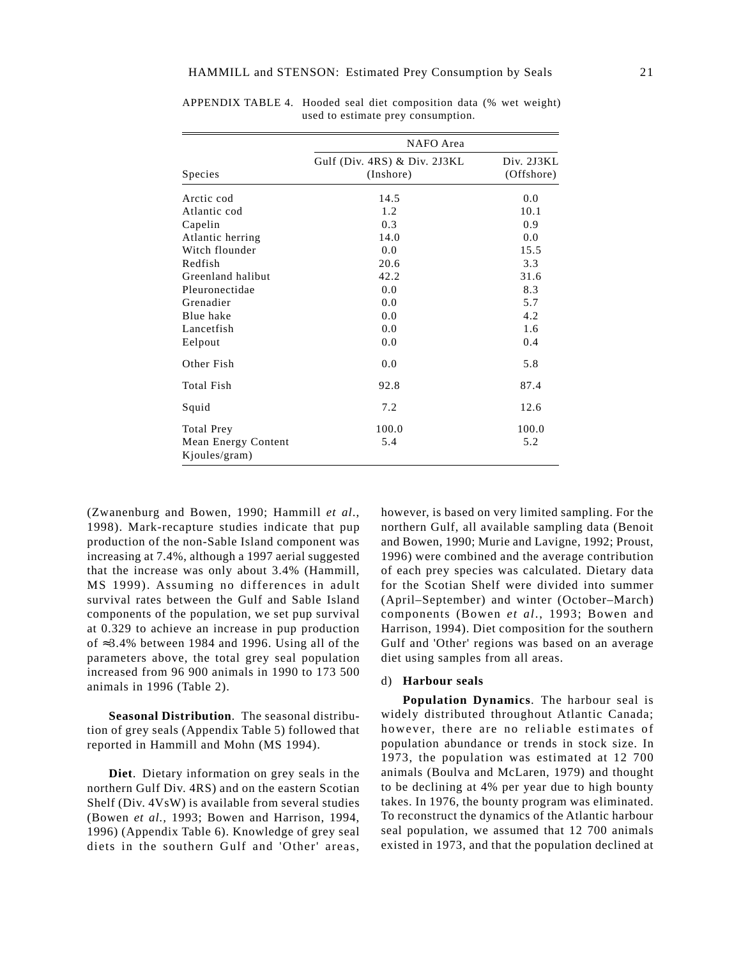|                                      | NAFO Area                                    |                          |  |  |  |  |  |
|--------------------------------------|----------------------------------------------|--------------------------|--|--|--|--|--|
| <b>Species</b>                       | Gulf (Div. $4RS$ ) & Div. 2J3KL<br>(Inshore) | Div. 2J3KL<br>(Offshore) |  |  |  |  |  |
| Arctic cod                           | 14.5                                         | 0.0                      |  |  |  |  |  |
| Atlantic cod                         | 1.2                                          | 10.1                     |  |  |  |  |  |
| Capelin                              | 0.3                                          | 0.9                      |  |  |  |  |  |
| Atlantic herring                     | 14.0                                         | 0.0                      |  |  |  |  |  |
| Witch flounder                       | 0.0                                          | 15.5                     |  |  |  |  |  |
| Redfish                              | 20.6                                         | 3.3                      |  |  |  |  |  |
| Greenland halibut                    | 42.2                                         | 31.6                     |  |  |  |  |  |
| Pleuronectidae                       | 0.0                                          | 8.3                      |  |  |  |  |  |
| Grenadier                            | 0.0                                          | 5.7                      |  |  |  |  |  |
| Blue hake                            | 0.0                                          | 4.2                      |  |  |  |  |  |
| Lancetfish                           | 0.0                                          | 1.6                      |  |  |  |  |  |
| Eelpout                              | 0.0                                          | 0.4                      |  |  |  |  |  |
| Other Fish                           | 0.0                                          | 5.8                      |  |  |  |  |  |
| <b>Total Fish</b>                    | 92.8                                         | 87.4                     |  |  |  |  |  |
| Squid                                | 7.2                                          | 12.6                     |  |  |  |  |  |
| <b>Total Prey</b>                    | 100.0                                        | 100.0                    |  |  |  |  |  |
| Mean Energy Content<br>Kjoules/gram) | 5.4                                          | 5.2                      |  |  |  |  |  |

APPENDIX TABLE 4. Hooded seal diet composition data (% wet weight) used to estimate prey consumption.

(Zwanenburg and Bowen, 1990; Hammill *et al*., 1998). Mark-recapture studies indicate that pup production of the non-Sable Island component was increasing at 7.4%, although a 1997 aerial suggested that the increase was only about 3.4% (Hammill*,* MS 1999). Assuming no differences in adult survival rates between the Gulf and Sable Island components of the population, we set pup survival at 0.329 to achieve an increase in pup production of ≈3.4% between 1984 and 1996. Using all of the parameters above, the total grey seal population increased from 96 900 animals in 1990 to 173 500 animals in 1996 (Table 2).

**Seasonal Distribution**. The seasonal distribution of grey seals (Appendix Table 5) followed that reported in Hammill and Mohn (MS 1994).

**Diet**. Dietary information on grey seals in the northern Gulf Div. 4RS) and on the eastern Scotian Shelf (Div. 4VsW) is available from several studies (Bowen *et al.,* 1993; Bowen and Harrison, 1994, 1996) (Appendix Table 6). Knowledge of grey seal diets in the southern Gulf and 'Other' areas, however, is based on very limited sampling. For the northern Gulf, all available sampling data (Benoit and Bowen, 1990; Murie and Lavigne, 1992; Proust, 1996) were combined and the average contribution of each prey species was calculated. Dietary data for the Scotian Shelf were divided into summer (April–September) and winter (October–March) components (Bowen *et al*., 1993; Bowen and Harrison, 1994). Diet composition for the southern Gulf and 'Other' regions was based on an average diet using samples from all areas.

#### d) **Harbour seals**

**Population Dynamics**. The harbour seal is widely distributed throughout Atlantic Canada; however, there are no reliable estimates of population abundance or trends in stock size. In 1973, the population was estimated at 12 700 animals (Boulva and McLaren, 1979) and thought to be declining at 4% per year due to high bounty takes. In 1976, the bounty program was eliminated. To reconstruct the dynamics of the Atlantic harbour seal population, we assumed that 12 700 animals existed in 1973, and that the population declined at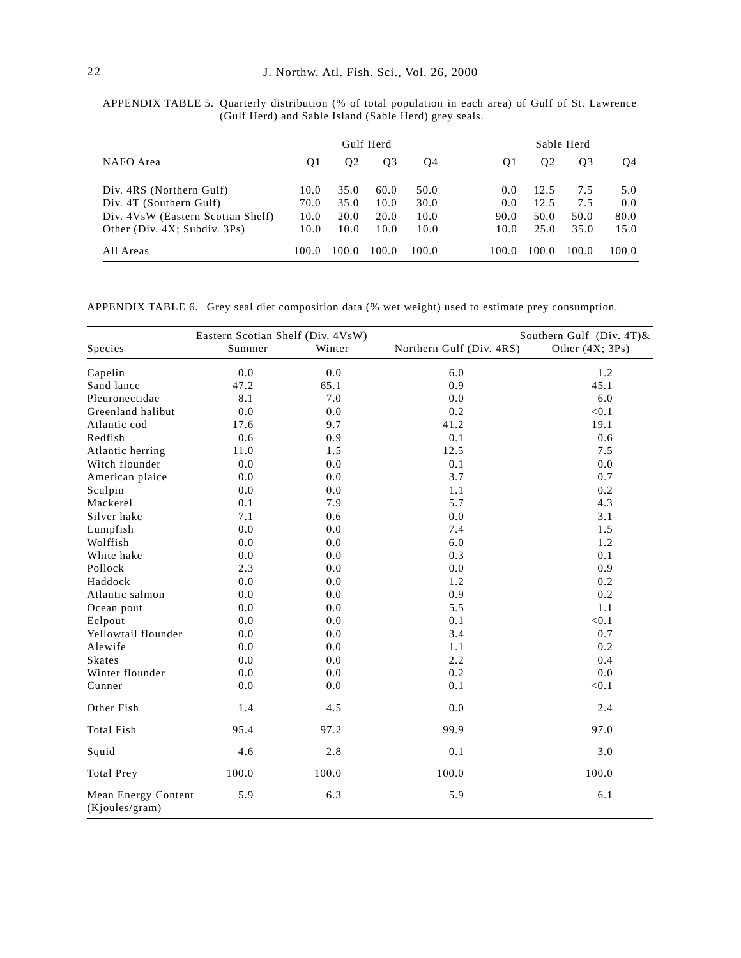|                                    |       | Gulf Herd |                |       |       | Sable Herd |       |       |  |
|------------------------------------|-------|-----------|----------------|-------|-------|------------|-------|-------|--|
| NAFO Area                          | O1    | 02        | Q <sub>3</sub> | Q4    | 01    | 02         | Q3    | Q4    |  |
| Div. 4RS (Northern Gulf)           | 10.0  | 35.0      | 60.0           | 50.0  | 0.0   | 12.5       | 7.5   | 5.0   |  |
| Div. 4T (Southern Gulf)            | 70.0  | 35.0      | 10.0           | 30.0  | 0.0   | 12.5       | 7.5   | 0.0   |  |
| Div. 4VsW (Eastern Scotian Shelf)  | 10.0  | 20.0      | 20.0           | 10.0  | 90.0  | 50.0       | 50.0  | 80.0  |  |
| Other (Div. $4X$ ; Subdiv. $3Ps$ ) | 10.0  | 10.0      | 10.0           | 10.0  | 10.0  | 25.0       | 35.0  | 15.0  |  |
| All Areas                          | 100.0 | 100.0     | 100.0          | 100.0 | 100.0 | 100.0      | 100.0 | 100.0 |  |

APPENDIX TABLE 5. Quarterly distribution (% of total population in each area) of Gulf of St. Lawrence (Gulf Herd) and Sable Island (Sable Herd) grey seals.

APPENDIX TABLE 6. Grey seal diet composition data (% wet weight) used to estimate prey consumption.

|                                       | Eastern Scotian Shelf (Div. 4VsW) |        |                          | Southern Gulf (Div. 4T)& |  |  |  |
|---------------------------------------|-----------------------------------|--------|--------------------------|--------------------------|--|--|--|
| Species                               | Summer                            | Winter | Northern Gulf (Div. 4RS) | Other $(4X; 3Ps)$        |  |  |  |
| Capelin                               | 0.0                               | 0.0    | 6.0                      | 1.2                      |  |  |  |
| Sand lance                            | 47.2                              | 65.1   | 0.9                      | 45.1                     |  |  |  |
| Pleuronectidae                        | 8.1                               | 7.0    | 0.0                      | 6.0                      |  |  |  |
| Greenland halibut                     | 0.0                               | 0.0    | 0.2                      | < 0.1                    |  |  |  |
| Atlantic cod                          | 17.6                              | 9.7    | 41.2                     | 19.1                     |  |  |  |
| Redfish                               | 0.6                               | 0.9    | 0.1                      | 0.6                      |  |  |  |
| Atlantic herring                      | 11.0                              | 1.5    | 12.5                     | 7.5                      |  |  |  |
| Witch flounder                        | 0.0                               | 0.0    | 0.1                      | 0.0                      |  |  |  |
| American plaice                       | 0.0                               | 0.0    | 3.7                      | 0.7                      |  |  |  |
| Sculpin                               | 0.0                               | 0.0    | 1.1                      | 0.2                      |  |  |  |
| Mackerel                              | 0.1                               | 7.9    | 5.7                      | 4.3                      |  |  |  |
| Silver hake                           | 7.1                               | 0.6    | 0.0                      | 3.1                      |  |  |  |
| Lumpfish                              | 0.0                               | 0.0    | 7.4                      | 1.5                      |  |  |  |
| Wolffish                              | 0.0                               | 0.0    | 6.0                      | 1.2                      |  |  |  |
| White hake                            | 0.0                               | 0.0    | 0.3                      | 0.1                      |  |  |  |
| Pollock                               | 2.3                               | 0.0    | 0.0                      | 0.9                      |  |  |  |
| Haddock                               | $0.0\,$                           | 0.0    | 1.2                      | 0.2                      |  |  |  |
| Atlantic salmon                       | $0.0\,$                           | 0.0    | 0.9                      | 0.2                      |  |  |  |
| Ocean pout                            | $0.0\,$                           | 0.0    | 5.5                      | 1.1                      |  |  |  |
| Eelpout                               | 0.0                               | 0.0    | 0.1                      | < 0.1                    |  |  |  |
| Yellowtail flounder                   | 0.0                               | 0.0    | 3.4                      | 0.7                      |  |  |  |
| Alewife                               | 0.0                               | 0.0    | 1.1                      | 0.2                      |  |  |  |
| <b>Skates</b>                         | 0.0                               | 0.0    | 2.2                      | 0.4                      |  |  |  |
| Winter flounder                       | 0.0                               | 0.0    | 0.2                      | 0.0                      |  |  |  |
| Cunner                                | 0.0                               | 0.0    | 0.1                      | < 0.1                    |  |  |  |
| Other Fish                            | 1.4                               | 4.5    | 0.0                      | 2.4                      |  |  |  |
| <b>Total Fish</b>                     | 95.4                              | 97.2   | 99.9                     | 97.0                     |  |  |  |
| Squid                                 | 4.6                               | 2.8    | 0.1                      | 3.0                      |  |  |  |
| <b>Total Prey</b>                     | 100.0                             | 100.0  | 100.0                    | 100.0                    |  |  |  |
| Mean Energy Content<br>(Kjoules/gram) | 5.9                               | 6.3    | 5.9                      | 6.1                      |  |  |  |